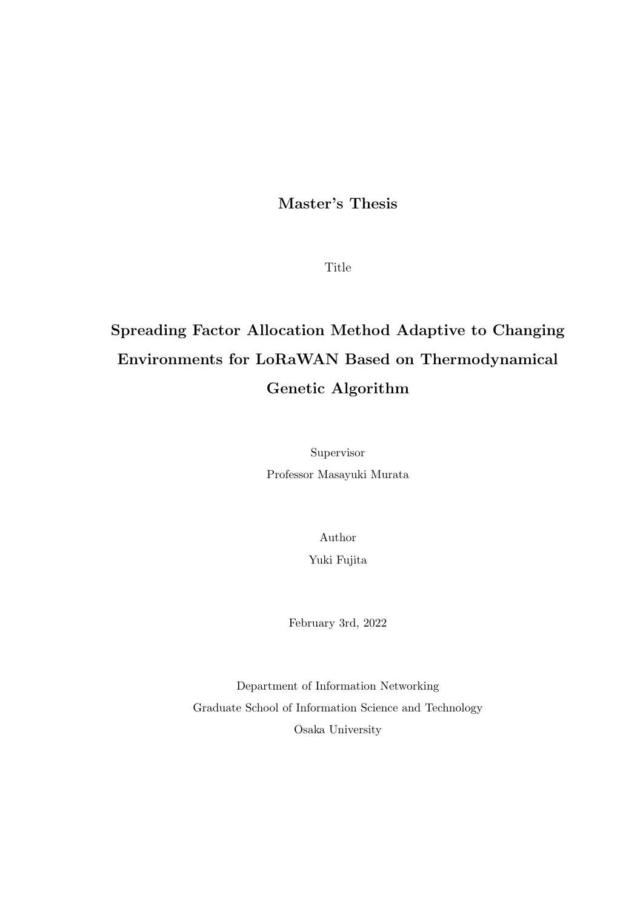## **Master's Thesis**

Title

# **Spreading Factor Allocation Method Adaptive to Changing Environments for LoRaWAN Based on Thermodynamical Genetic Algorithm**

Supervisor Professor Masayuki Murata

> Author Yuki Fujita

February 3rd, 2022

Department of Information Networking Graduate School of Information Science and Technology Osaka University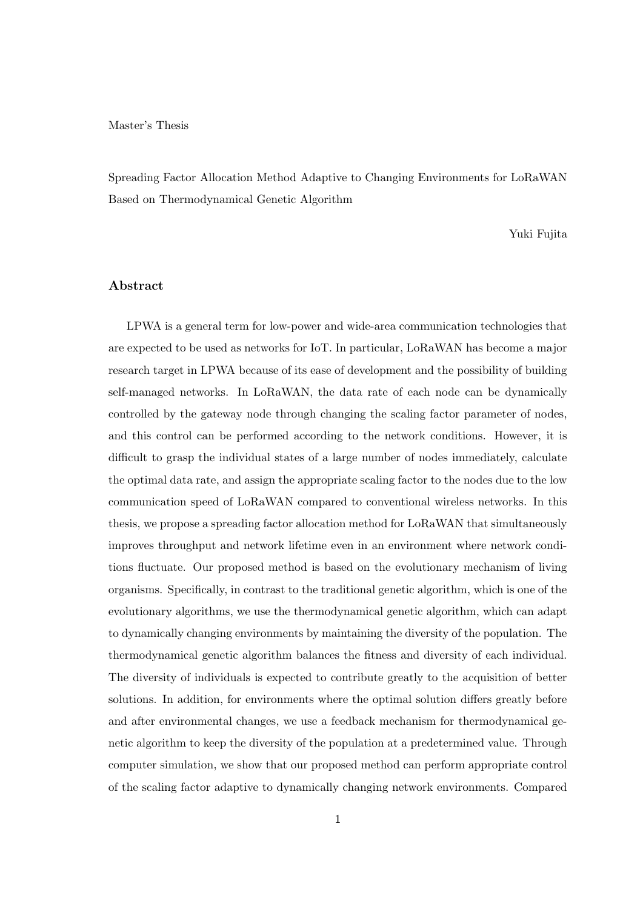#### Master's Thesis

Spreading Factor Allocation Method Adaptive to Changing Environments for LoRaWAN Based on Thermodynamical Genetic Algorithm

Yuki Fujita

### **Abstract**

LPWA is a general term for low-power and wide-area communication technologies that are expected to be used as networks for IoT. In particular, LoRaWAN has become a major research target in LPWA because of its ease of development and the possibility of building self-managed networks. In LoRaWAN, the data rate of each node can be dynamically controlled by the gateway node through changing the scaling factor parameter of nodes, and this control can be performed according to the network conditions. However, it is difficult to grasp the individual states of a large number of nodes immediately, calculate the optimal data rate, and assign the appropriate scaling factor to the nodes due to the low communication speed of LoRaWAN compared to conventional wireless networks. In this thesis, we propose a spreading factor allocation method for LoRaWAN that simultaneously improves throughput and network lifetime even in an environment where network conditions fluctuate. Our proposed method is based on the evolutionary mechanism of living organisms. Specifically, in contrast to the traditional genetic algorithm, which is one of the evolutionary algorithms, we use the thermodynamical genetic algorithm, which can adapt to dynamically changing environments by maintaining the diversity of the population. The thermodynamical genetic algorithm balances the fitness and diversity of each individual. The diversity of individuals is expected to contribute greatly to the acquisition of better solutions. In addition, for environments where the optimal solution differs greatly before and after environmental changes, we use a feedback mechanism for thermodynamical genetic algorithm to keep the diversity of the population at a predetermined value. Through computer simulation, we show that our proposed method can perform appropriate control of the scaling factor adaptive to dynamically changing network environments. Compared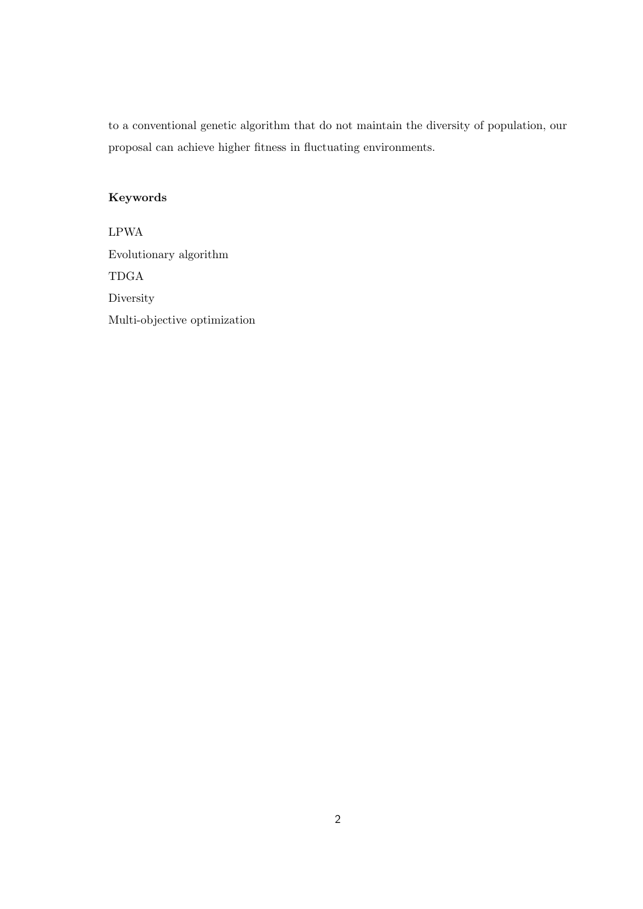to a conventional genetic algorithm that do not maintain the diversity of population, our proposal can achieve higher fitness in fluctuating environments.

### **Keywords**

LPWA Evolutionary algorithm TDGA **Diversity** Multi-objective optimization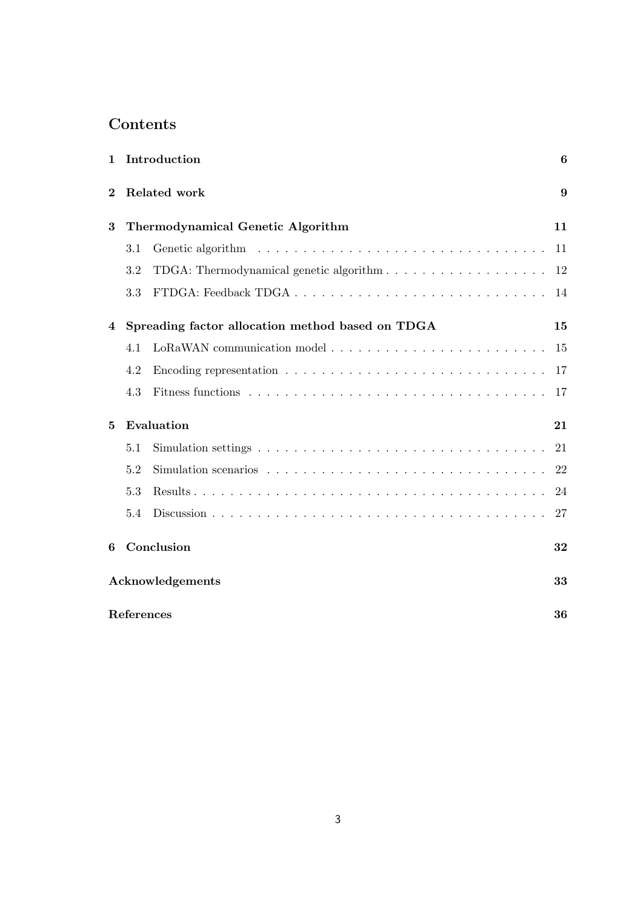## **Contents**

| $\mathbf{1}$ |                  | Introduction                                                                                    | 6  |  |  |  |
|--------------|------------------|-------------------------------------------------------------------------------------------------|----|--|--|--|
| $\bf{2}$     |                  | Related work                                                                                    | 9  |  |  |  |
| 3            |                  | Thermodynamical Genetic Algorithm                                                               | 11 |  |  |  |
|              | 3.1              |                                                                                                 | 11 |  |  |  |
|              | 3.2              | TDGA: Thermodynamical genetic algorithm                                                         | 12 |  |  |  |
|              | 3.3              |                                                                                                 | 14 |  |  |  |
| 4            |                  | Spreading factor allocation method based on TDGA                                                | 15 |  |  |  |
|              | 4.1              |                                                                                                 | 15 |  |  |  |
|              | 4.2              | Encoding representation $\ldots \ldots \ldots \ldots \ldots \ldots \ldots \ldots \ldots \ldots$ | 17 |  |  |  |
|              | 4.3              |                                                                                                 | 17 |  |  |  |
| 5            | Evaluation       |                                                                                                 |    |  |  |  |
|              | 5.1              |                                                                                                 | 21 |  |  |  |
|              | 5.2              |                                                                                                 | 22 |  |  |  |
|              | 5.3              |                                                                                                 | 24 |  |  |  |
|              | 5.4              |                                                                                                 | 27 |  |  |  |
| 6            |                  | Conclusion                                                                                      | 32 |  |  |  |
|              |                  | Acknowledgements                                                                                | 33 |  |  |  |
|              | References<br>36 |                                                                                                 |    |  |  |  |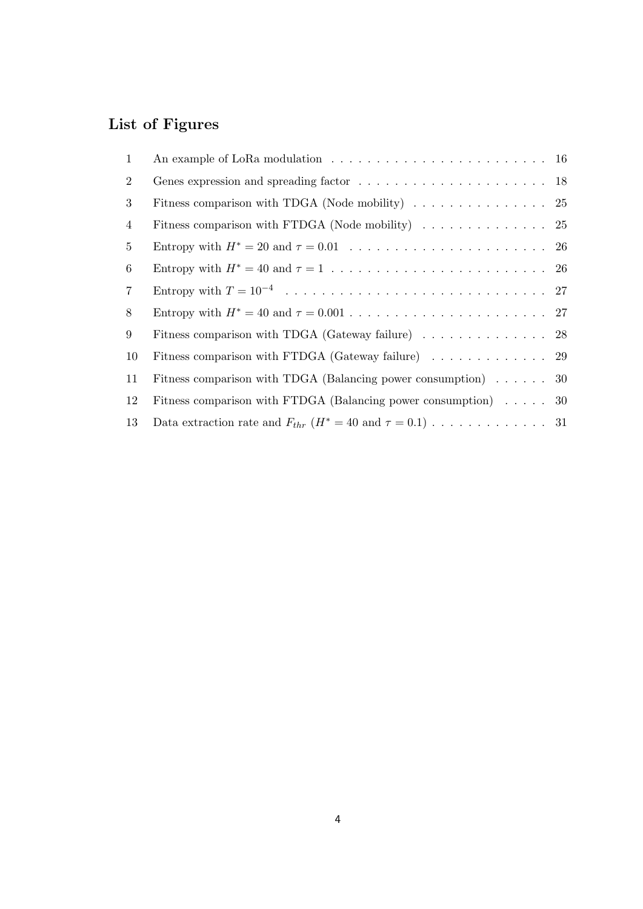## **List of Figures**

| 1              |                                                                                       |  |
|----------------|---------------------------------------------------------------------------------------|--|
| $\overline{2}$ |                                                                                       |  |
| 3              | Fitness comparison with TDGA (Node mobility) $\ldots \ldots \ldots \ldots \ldots$ 25  |  |
| 4              | Fitness comparison with FTDGA (Node mobility) $\ldots \ldots \ldots \ldots \ldots$ 25 |  |
| 5              |                                                                                       |  |
| 6              |                                                                                       |  |
| $7\phantom{.}$ |                                                                                       |  |
| 8              |                                                                                       |  |
| 9              | Fitness comparison with TDGA (Gateway failure) $\ldots \ldots \ldots \ldots$ 28       |  |
| 10             |                                                                                       |  |
| 11             | Fitness comparison with TDGA (Balancing power consumption) 30                         |  |
| 12             | Fitness comparison with FTDGA (Balancing power consumption) 30                        |  |
| 13             |                                                                                       |  |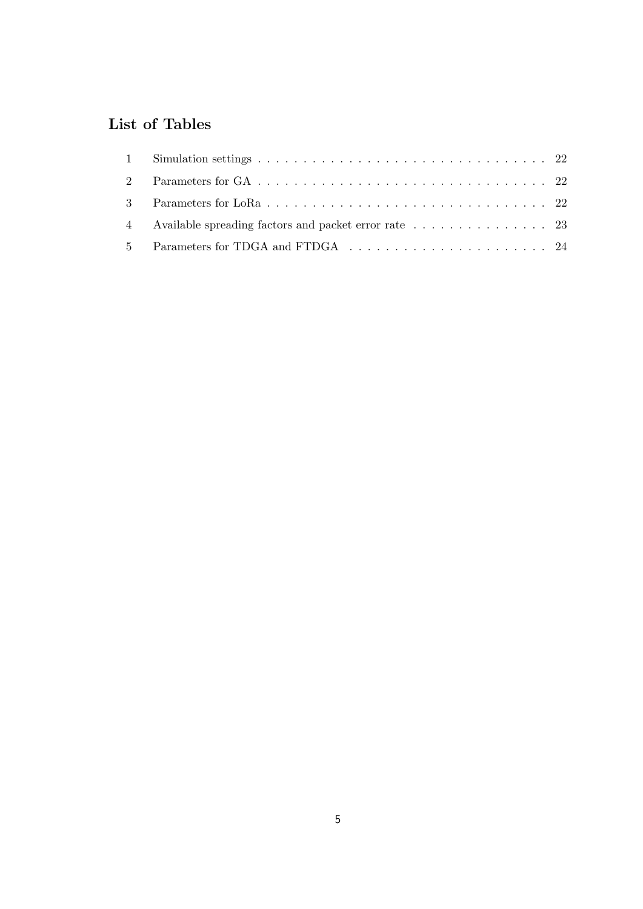## **List of Tables**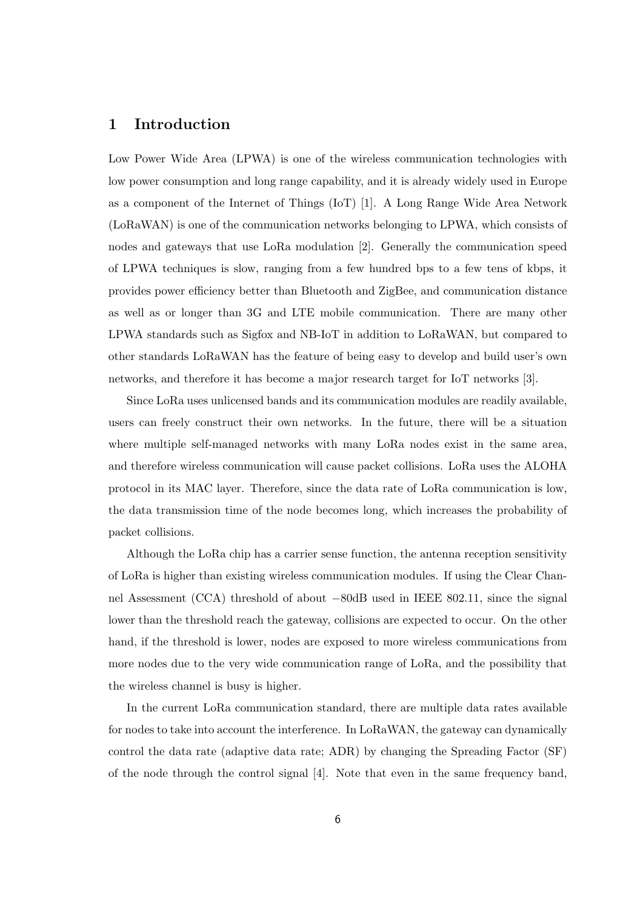### **1 Introduction**

Low Power Wide Area (LPWA) is one of the wireless communication technologies with low power consumption and long range capability, and it is already widely used in Europe as a component of the Internet of Things (IoT) [1]. A Long Range Wide Area Network (LoRaWAN) is one of the communication networks belonging to LPWA, which consists of nodes and gateways that use LoRa modulation [2]. Generally the communication speed of LPWA techniques is slow, ranging from a few hundred bps to a few tens of kbps, it provides power efficiency better than Bluetooth and ZigBee, and communication distance as well as or longer than 3G and LTE mobile communication. There are many other LPWA standards such as Sigfox and NB-IoT in addition to LoRaWAN, but compared to other standards LoRaWAN has the feature of being easy to develop and build user's own networks, and therefore it has become a major research target for IoT networks [3].

Since LoRa uses unlicensed bands and its communication modules are readily available, users can freely construct their own networks. In the future, there will be a situation where multiple self-managed networks with many LoRa nodes exist in the same area, and therefore wireless communication will cause packet collisions. LoRa uses the ALOHA protocol in its MAC layer. Therefore, since the data rate of LoRa communication is low, the data transmission time of the node becomes long, which increases the probability of packet collisions.

Although the LoRa chip has a carrier sense function, the antenna reception sensitivity of LoRa is higher than existing wireless communication modules. If using the Clear Channel Assessment (CCA) threshold of about *−*80dB used in IEEE 802.11, since the signal lower than the threshold reach the gateway, collisions are expected to occur. On the other hand, if the threshold is lower, nodes are exposed to more wireless communications from more nodes due to the very wide communication range of LoRa, and the possibility that the wireless channel is busy is higher.

In the current LoRa communication standard, there are multiple data rates available for nodes to take into account the interference. In LoRaWAN, the gateway can dynamically control the data rate (adaptive data rate; ADR) by changing the Spreading Factor (SF) of the node through the control signal [4]. Note that even in the same frequency band,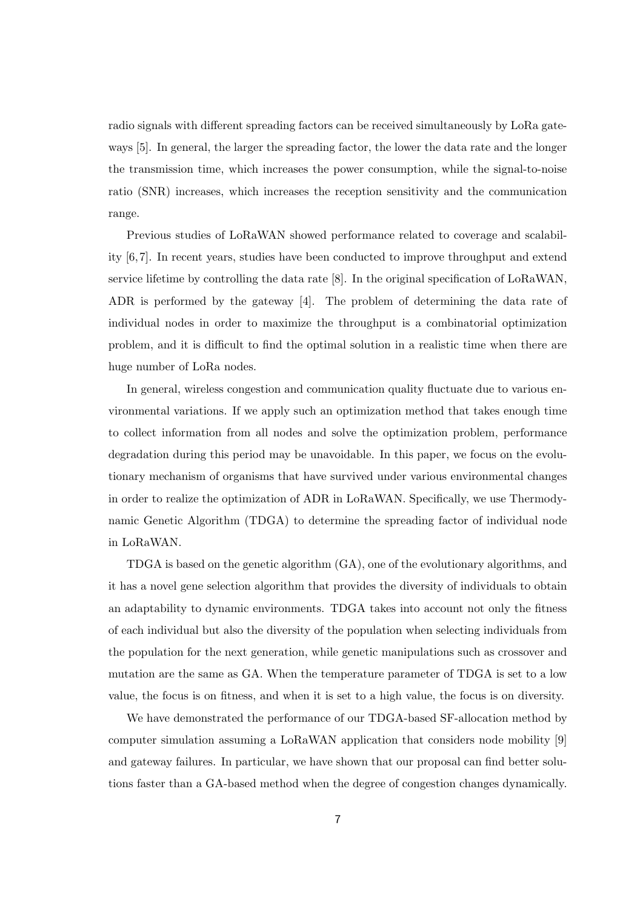radio signals with different spreading factors can be received simultaneously by LoRa gateways [5]. In general, the larger the spreading factor, the lower the data rate and the longer the transmission time, which increases the power consumption, while the signal-to-noise ratio (SNR) increases, which increases the reception sensitivity and the communication range.

Previous studies of LoRaWAN showed performance related to coverage and scalability [6, 7]. In recent years, studies have been conducted to improve throughput and extend service lifetime by controlling the data rate [8]. In the original specification of LoRaWAN, ADR is performed by the gateway [4]. The problem of determining the data rate of individual nodes in order to maximize the throughput is a combinatorial optimization problem, and it is difficult to find the optimal solution in a realistic time when there are huge number of LoRa nodes.

In general, wireless congestion and communication quality fluctuate due to various environmental variations. If we apply such an optimization method that takes enough time to collect information from all nodes and solve the optimization problem, performance degradation during this period may be unavoidable. In this paper, we focus on the evolutionary mechanism of organisms that have survived under various environmental changes in order to realize the optimization of ADR in LoRaWAN. Specifically, we use Thermodynamic Genetic Algorithm (TDGA) to determine the spreading factor of individual node in LoRaWAN.

TDGA is based on the genetic algorithm (GA), one of the evolutionary algorithms, and it has a novel gene selection algorithm that provides the diversity of individuals to obtain an adaptability to dynamic environments. TDGA takes into account not only the fitness of each individual but also the diversity of the population when selecting individuals from the population for the next generation, while genetic manipulations such as crossover and mutation are the same as GA. When the temperature parameter of TDGA is set to a low value, the focus is on fitness, and when it is set to a high value, the focus is on diversity.

We have demonstrated the performance of our TDGA-based SF-allocation method by computer simulation assuming a LoRaWAN application that considers node mobility [9] and gateway failures. In particular, we have shown that our proposal can find better solutions faster than a GA-based method when the degree of congestion changes dynamically.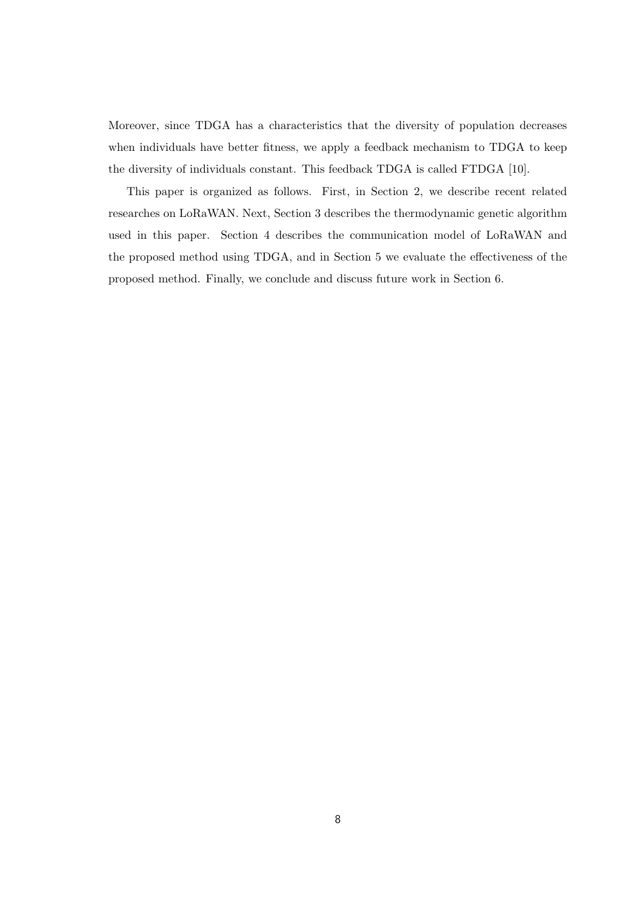Moreover, since TDGA has a characteristics that the diversity of population decreases when individuals have better fitness, we apply a feedback mechanism to TDGA to keep the diversity of individuals constant. This feedback TDGA is called FTDGA [10].

This paper is organized as follows. First, in Section 2, we describe recent related researches on LoRaWAN. Next, Section 3 describes the thermodynamic genetic algorithm used in this paper. Section 4 describes the communication model of LoRaWAN and the proposed method using TDGA, and in Section 5 we evaluate the effectiveness of the proposed method. Finally, we conclude and discuss future work in Section 6.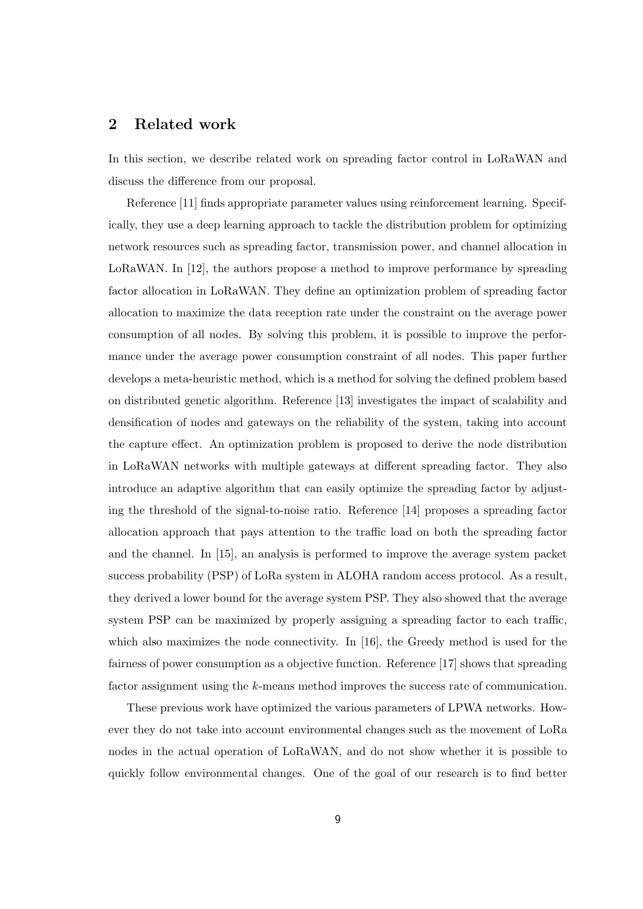### **2 Related work**

In this section, we describe related work on spreading factor control in LoRaWAN and discuss the difference from our proposal.

Reference [11] finds appropriate parameter values using reinforcement learning. Specifically, they use a deep learning approach to tackle the distribution problem for optimizing network resources such as spreading factor, transmission power, and channel allocation in LoRaWAN. In [12], the authors propose a method to improve performance by spreading factor allocation in LoRaWAN. They define an optimization problem of spreading factor allocation to maximize the data reception rate under the constraint on the average power consumption of all nodes. By solving this problem, it is possible to improve the performance under the average power consumption constraint of all nodes. This paper further develops a meta-heuristic method, which is a method for solving the defined problem based on distributed genetic algorithm. Reference [13] investigates the impact of scalability and densification of nodes and gateways on the reliability of the system, taking into account the capture effect. An optimization problem is proposed to derive the node distribution in LoRaWAN networks with multiple gateways at different spreading factor. They also introduce an adaptive algorithm that can easily optimize the spreading factor by adjusting the threshold of the signal-to-noise ratio. Reference [14] proposes a spreading factor allocation approach that pays attention to the traffic load on both the spreading factor and the channel. In [15], an analysis is performed to improve the average system packet success probability (PSP) of LoRa system in ALOHA random access protocol. As a result, they derived a lower bound for the average system PSP. They also showed that the average system PSP can be maximized by properly assigning a spreading factor to each traffic, which also maximizes the node connectivity. In [16], the Greedy method is used for the fairness of power consumption as a objective function. Reference [17] shows that spreading factor assignment using the *k*-means method improves the success rate of communication.

These previous work have optimized the various parameters of LPWA networks. However they do not take into account environmental changes such as the movement of LoRa nodes in the actual operation of LoRaWAN, and do not show whether it is possible to quickly follow environmental changes. One of the goal of our research is to find better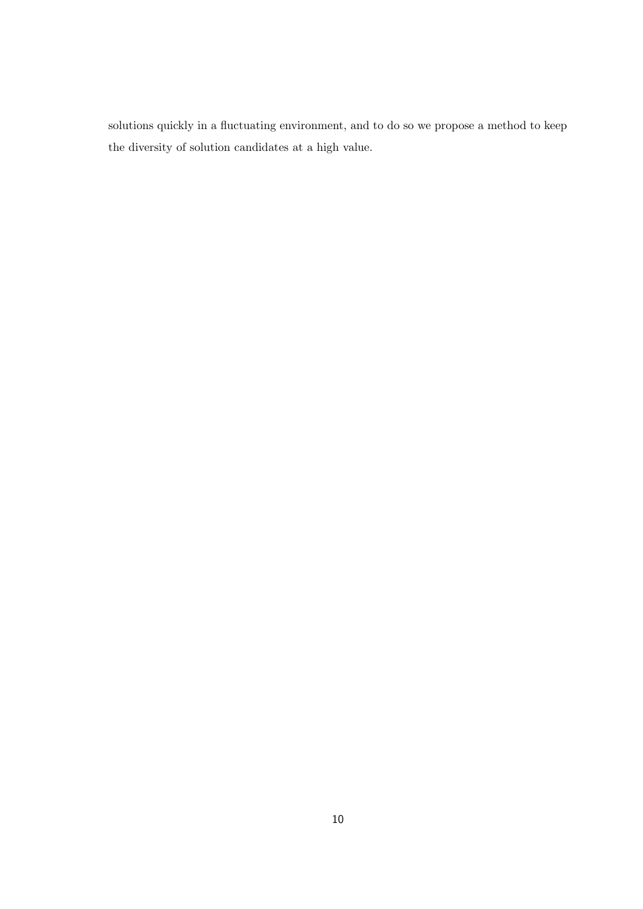solutions quickly in a fluctuating environment, and to do so we propose a method to keep the diversity of solution candidates at a high value.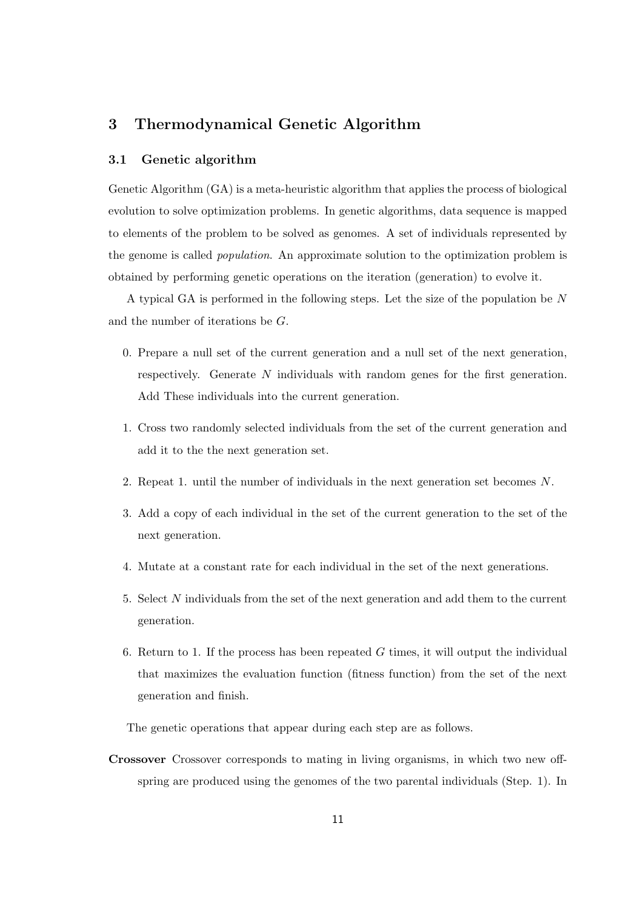## **3 Thermodynamical Genetic Algorithm**

#### **3.1 Genetic algorithm**

Genetic Algorithm (GA) is a meta-heuristic algorithm that applies the process of biological evolution to solve optimization problems. In genetic algorithms, data sequence is mapped to elements of the problem to be solved as genomes. A set of individuals represented by the genome is called *population*. An approximate solution to the optimization problem is obtained by performing genetic operations on the iteration (generation) to evolve it.

A typical GA is performed in the following steps. Let the size of the population be *N* and the number of iterations be *G*.

- 0. Prepare a null set of the current generation and a null set of the next generation, respectively. Generate *N* individuals with random genes for the first generation. Add These individuals into the current generation.
- 1. Cross two randomly selected individuals from the set of the current generation and add it to the the next generation set.
- 2. Repeat 1. until the number of individuals in the next generation set becomes *N*.
- 3. Add a copy of each individual in the set of the current generation to the set of the next generation.
- 4. Mutate at a constant rate for each individual in the set of the next generations.
- 5. Select *N* individuals from the set of the next generation and add them to the current generation.
- 6. Return to 1. If the process has been repeated *G* times, it will output the individual that maximizes the evaluation function (fitness function) from the set of the next generation and finish.

The genetic operations that appear during each step are as follows.

**Crossover** Crossover corresponds to mating in living organisms, in which two new offspring are produced using the genomes of the two parental individuals (Step. 1). In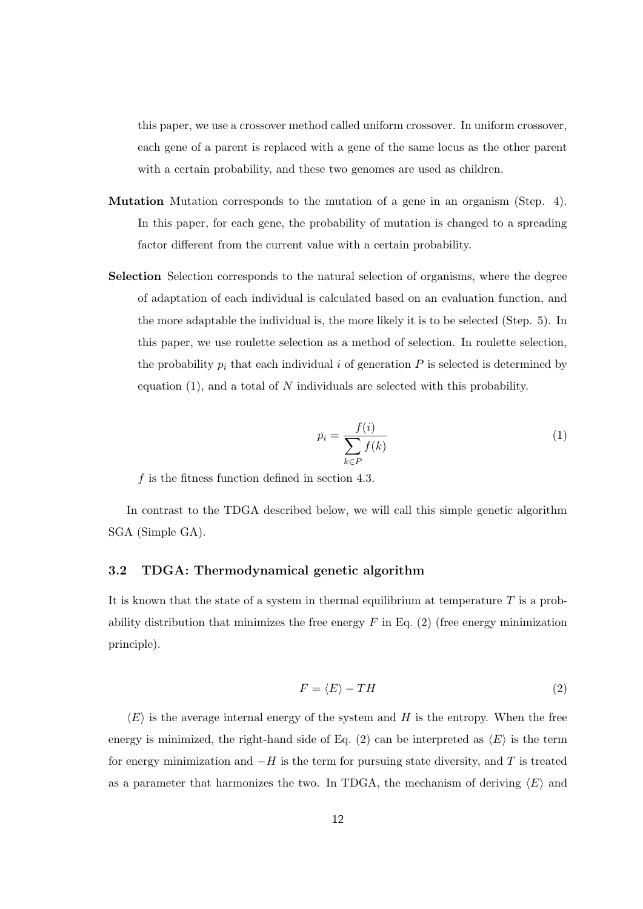this paper, we use a crossover method called uniform crossover. In uniform crossover, each gene of a parent is replaced with a gene of the same locus as the other parent with a certain probability, and these two genomes are used as children.

- **Mutation** Mutation corresponds to the mutation of a gene in an organism (Step. 4). In this paper, for each gene, the probability of mutation is changed to a spreading factor different from the current value with a certain probability.
- **Selection** Selection corresponds to the natural selection of organisms, where the degree of adaptation of each individual is calculated based on an evaluation function, and the more adaptable the individual is, the more likely it is to be selected (Step. 5). In this paper, we use roulette selection as a method of selection. In roulette selection, the probability  $p_i$  that each individual  $i$  of generation  $P$  is selected is determined by equation (1), and a total of *N* individuals are selected with this probability.

$$
p_i = \frac{f(i)}{\sum_{k \in P} f(k)}\tag{1}
$$

*f* is the fitness function defined in section 4.3.

In contrast to the TDGA described below, we will call this simple genetic algorithm SGA (Simple GA).

#### **3.2 TDGA: Thermodynamical genetic algorithm**

It is known that the state of a system in thermal equilibrium at temperature *T* is a probability distribution that minimizes the free energy  $F$  in Eq. (2) (free energy minimization principle).

$$
F = \langle E \rangle - TH \tag{2}
$$

 $\langle E \rangle$  is the average internal energy of the system and *H* is the entropy. When the free energy is minimized, the right-hand side of Eq. (2) can be interpreted as  $\langle E \rangle$  is the term for energy minimization and *−H* is the term for pursuing state diversity, and *T* is treated as a parameter that harmonizes the two. In TDGA, the mechanism of deriving  $\langle E \rangle$  and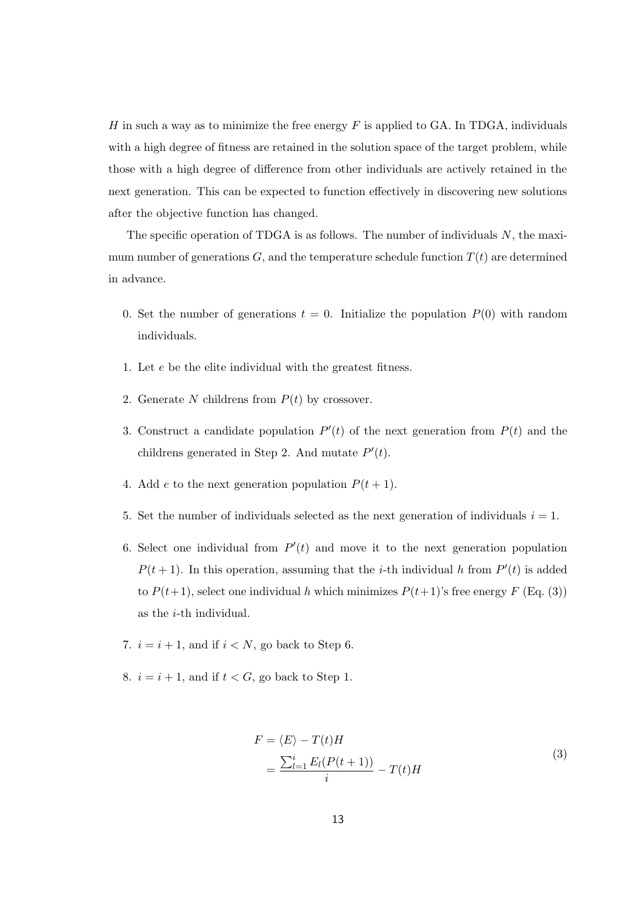*H* in such a way as to minimize the free energy *F* is applied to GA. In TDGA, individuals with a high degree of fitness are retained in the solution space of the target problem, while those with a high degree of difference from other individuals are actively retained in the next generation. This can be expected to function effectively in discovering new solutions after the objective function has changed.

The specific operation of TDGA is as follows. The number of individuals *N*, the maximum number of generations  $G$ , and the temperature schedule function  $T(t)$  are determined in advance.

- 0. Set the number of generations  $t = 0$ . Initialize the population  $P(0)$  with random individuals.
- 1. Let *e* be the elite individual with the greatest fitness.
- 2. Generate N childrens from  $P(t)$  by crossover.
- 3. Construct a candidate population  $P'(t)$  of the next generation from  $P(t)$  and the childrens generated in Step 2. And mutate *P ′* (*t*).
- 4. Add *e* to the next generation population  $P(t + 1)$ .
- 5. Set the number of individuals selected as the next generation of individuals  $i = 1$ .
- 6. Select one individual from  $P'(t)$  and move it to the next generation population  $P(t+1)$ . In this operation, assuming that the *i*-th individual *h* from  $P'(t)$  is added to  $P(t+1)$ , select one individual *h* which minimizes  $P(t+1)$ 's free energy  $F(\text{Eq. } (3))$ as the *i*-th individual.
- 7.  $i = i + 1$ , and if  $i < N$ , go back to Step 6.
- 8.  $i = i + 1$ , and if  $t < G$ , go back to Step 1.

$$
F = \langle E \rangle - T(t)H
$$
  
= 
$$
\frac{\sum_{l=1}^{i} E_l(P(t+1))}{i} - T(t)H
$$
 (3)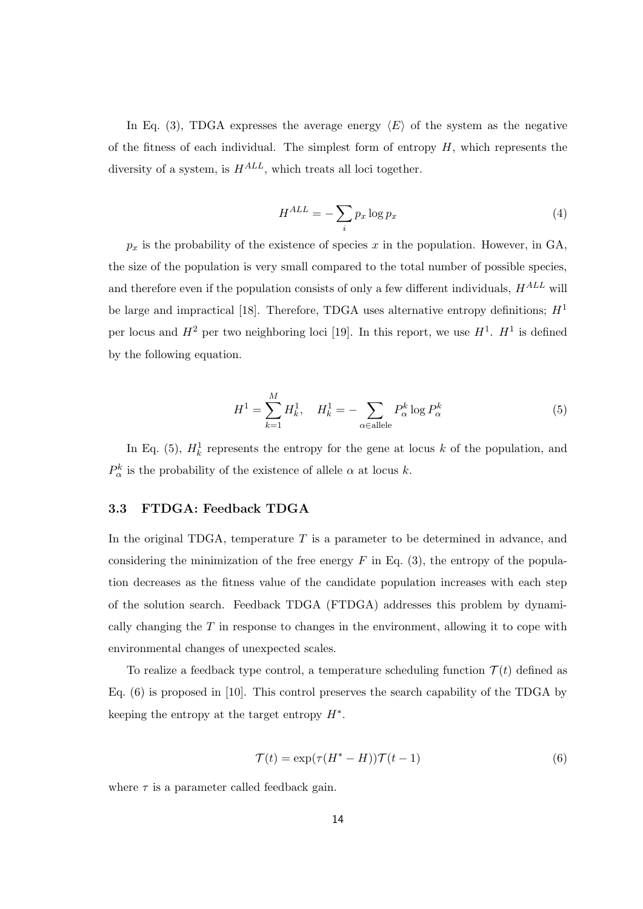In Eq. (3), TDGA expresses the average energy  $\langle E \rangle$  of the system as the negative of the fitness of each individual. The simplest form of entropy *H*, which represents the diversity of a system, is *HALL*, which treats all loci together.

$$
H^{ALL} = -\sum_{i} p_x \log p_x \tag{4}
$$

 $p_x$  is the probability of the existence of species  $x$  in the population. However, in GA, the size of the population is very small compared to the total number of possible species, and therefore even if the population consists of only a few different individuals, *HALL* will be large and impractical [18]. Therefore, TDGA uses alternative entropy definitions;  $H<sup>1</sup>$ per locus and  $H^2$  per two neighboring loci [19]. In this report, we use  $H^1$ .  $H^1$  is defined by the following equation.

$$
H^{1} = \sum_{k=1}^{M} H_{k}^{1}, \quad H_{k}^{1} = -\sum_{\alpha \in \text{allele}} P_{\alpha}^{k} \log P_{\alpha}^{k}
$$
(5)

In Eq. (5),  $H_k^1$  represents the entropy for the gene at locus *k* of the population, and  $P^k_{\alpha}$  is the probability of the existence of allele  $\alpha$  at locus *k*.

#### **3.3 FTDGA: Feedback TDGA**

In the original TDGA, temperature *T* is a parameter to be determined in advance, and considering the minimization of the free energy *F* in Eq. (3), the entropy of the population decreases as the fitness value of the candidate population increases with each step of the solution search. Feedback TDGA (FTDGA) addresses this problem by dynamically changing the *T* in response to changes in the environment, allowing it to cope with environmental changes of unexpected scales.

To realize a feedback type control, a temperature scheduling function  $\mathcal{T}(t)$  defined as Eq. (6) is proposed in [10]. This control preserves the search capability of the TDGA by keeping the entropy at the target entropy *H∗* .

$$
\mathcal{T}(t) = \exp(\tau (H^* - H)) \mathcal{T}(t - 1)
$$
\n(6)

where  $\tau$  is a parameter called feedback gain.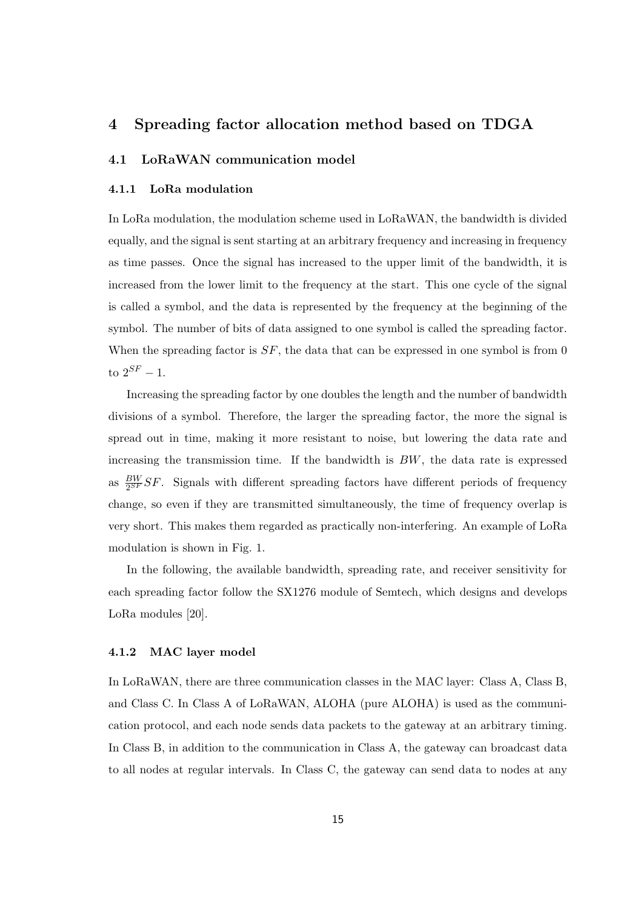## **4 Spreading factor allocation method based on TDGA**

#### **4.1 LoRaWAN communication model**

#### **4.1.1 LoRa modulation**

In LoRa modulation, the modulation scheme used in LoRaWAN, the bandwidth is divided equally, and the signal is sent starting at an arbitrary frequency and increasing in frequency as time passes. Once the signal has increased to the upper limit of the bandwidth, it is increased from the lower limit to the frequency at the start. This one cycle of the signal is called a symbol, and the data is represented by the frequency at the beginning of the symbol. The number of bits of data assigned to one symbol is called the spreading factor. When the spreading factor is  $SF$ , the data that can be expressed in one symbol is from 0 to  $2^{SF} - 1$ .

Increasing the spreading factor by one doubles the length and the number of bandwidth divisions of a symbol. Therefore, the larger the spreading factor, the more the signal is spread out in time, making it more resistant to noise, but lowering the data rate and increasing the transmission time. If the bandwidth is *BW*, the data rate is expressed as  $\frac{BW}{2^{SF}}SF$ . Signals with different spreading factors have different periods of frequency change, so even if they are transmitted simultaneously, the time of frequency overlap is very short. This makes them regarded as practically non-interfering. An example of LoRa modulation is shown in Fig. 1.

In the following, the available bandwidth, spreading rate, and receiver sensitivity for each spreading factor follow the SX1276 module of Semtech, which designs and develops LoRa modules [20].

#### **4.1.2 MAC layer model**

In LoRaWAN, there are three communication classes in the MAC layer: Class A, Class B, and Class C. In Class A of LoRaWAN, ALOHA (pure ALOHA) is used as the communication protocol, and each node sends data packets to the gateway at an arbitrary timing. In Class B, in addition to the communication in Class A, the gateway can broadcast data to all nodes at regular intervals. In Class C, the gateway can send data to nodes at any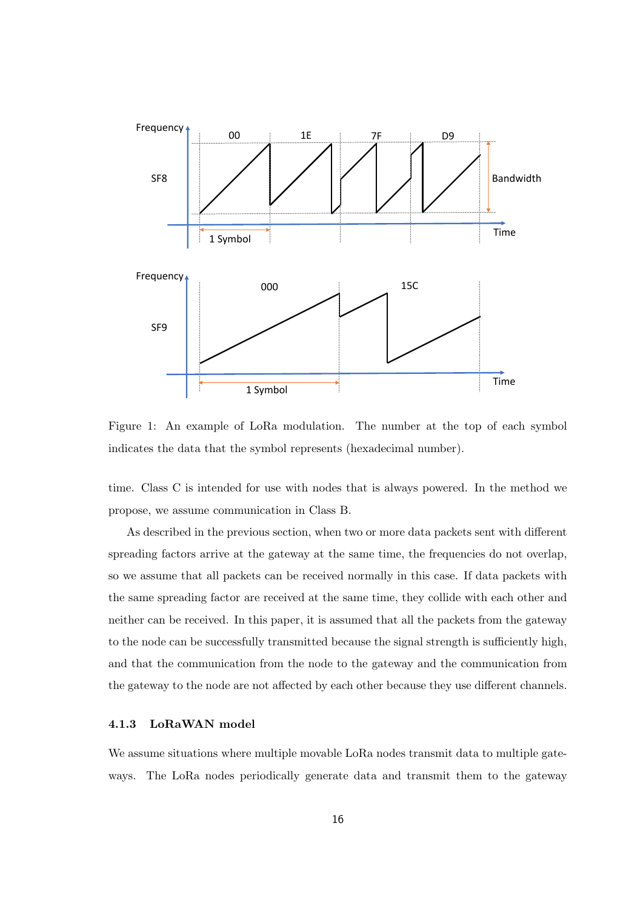

Figure 1: An example of LoRa modulation. The number at the top of each symbol indicates the data that the symbol represents (hexadecimal number).

time. Class C is intended for use with nodes that is always powered. In the method we propose, we assume communication in Class B.

As described in the previous section, when two or more data packets sent with different spreading factors arrive at the gateway at the same time, the frequencies do not overlap, so we assume that all packets can be received normally in this case. If data packets with the same spreading factor are received at the same time, they collide with each other and neither can be received. In this paper, it is assumed that all the packets from the gateway to the node can be successfully transmitted because the signal strength is sufficiently high, and that the communication from the node to the gateway and the communication from the gateway to the node are not affected by each other because they use different channels.

#### **4.1.3 LoRaWAN model**

We assume situations where multiple movable LoRa nodes transmit data to multiple gateways. The LoRa nodes periodically generate data and transmit them to the gateway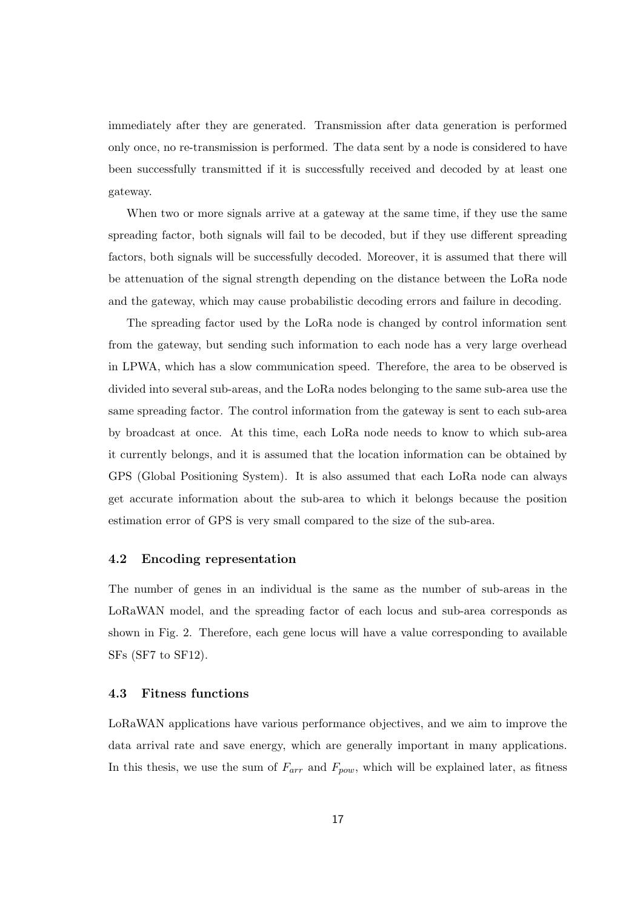immediately after they are generated. Transmission after data generation is performed only once, no re-transmission is performed. The data sent by a node is considered to have been successfully transmitted if it is successfully received and decoded by at least one gateway.

When two or more signals arrive at a gateway at the same time, if they use the same spreading factor, both signals will fail to be decoded, but if they use different spreading factors, both signals will be successfully decoded. Moreover, it is assumed that there will be attenuation of the signal strength depending on the distance between the LoRa node and the gateway, which may cause probabilistic decoding errors and failure in decoding.

The spreading factor used by the LoRa node is changed by control information sent from the gateway, but sending such information to each node has a very large overhead in LPWA, which has a slow communication speed. Therefore, the area to be observed is divided into several sub-areas, and the LoRa nodes belonging to the same sub-area use the same spreading factor. The control information from the gateway is sent to each sub-area by broadcast at once. At this time, each LoRa node needs to know to which sub-area it currently belongs, and it is assumed that the location information can be obtained by GPS (Global Positioning System). It is also assumed that each LoRa node can always get accurate information about the sub-area to which it belongs because the position estimation error of GPS is very small compared to the size of the sub-area.

#### **4.2 Encoding representation**

The number of genes in an individual is the same as the number of sub-areas in the LoRaWAN model, and the spreading factor of each locus and sub-area corresponds as shown in Fig. 2. Therefore, each gene locus will have a value corresponding to available SFs (SF7 to SF12).

#### **4.3 Fitness functions**

LoRaWAN applications have various performance objectives, and we aim to improve the data arrival rate and save energy, which are generally important in many applications. In this thesis, we use the sum of *Farr* and *Fpow*, which will be explained later, as fitness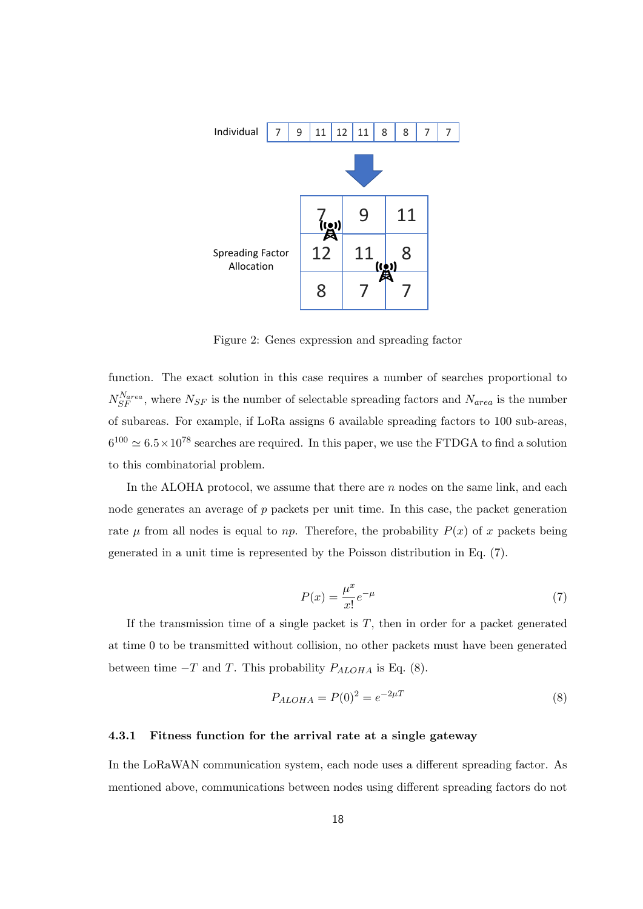

Figure 2: Genes expression and spreading factor

function. The exact solution in this case requires a number of searches proportional to  $N_{SF}^{N_{area}}$ , where  $N_{SF}$  is the number of selectable spreading factors and  $N_{area}$  is the number of subareas. For example, if LoRa assigns 6 available spreading factors to 100 sub-areas,  $6^{100} \simeq 6.5 \times 10^{78}$  searches are required. In this paper, we use the FTDGA to find a solution to this combinatorial problem.

In the ALOHA protocol, we assume that there are *n* nodes on the same link, and each node generates an average of p packets per unit time. In this case, the packet generation rate  $\mu$  from all nodes is equal to *np*. Therefore, the probability  $P(x)$  of *x* packets being generated in a unit time is represented by the Poisson distribution in Eq. (7).

$$
P(x) = \frac{\mu^x}{x!} e^{-\mu} \tag{7}
$$

If the transmission time of a single packet is  $T$ , then in order for a packet generated at time 0 to be transmitted without collision, no other packets must have been generated between time  $-T$  and *T*. This probability  $P_{ALOHA}$  is Eq. (8).

$$
P_{ALOHA} = P(0)^2 = e^{-2\mu T}
$$
\n(8)

#### **4.3.1 Fitness function for the arrival rate at a single gateway**

In the LoRaWAN communication system, each node uses a different spreading factor. As mentioned above, communications between nodes using different spreading factors do not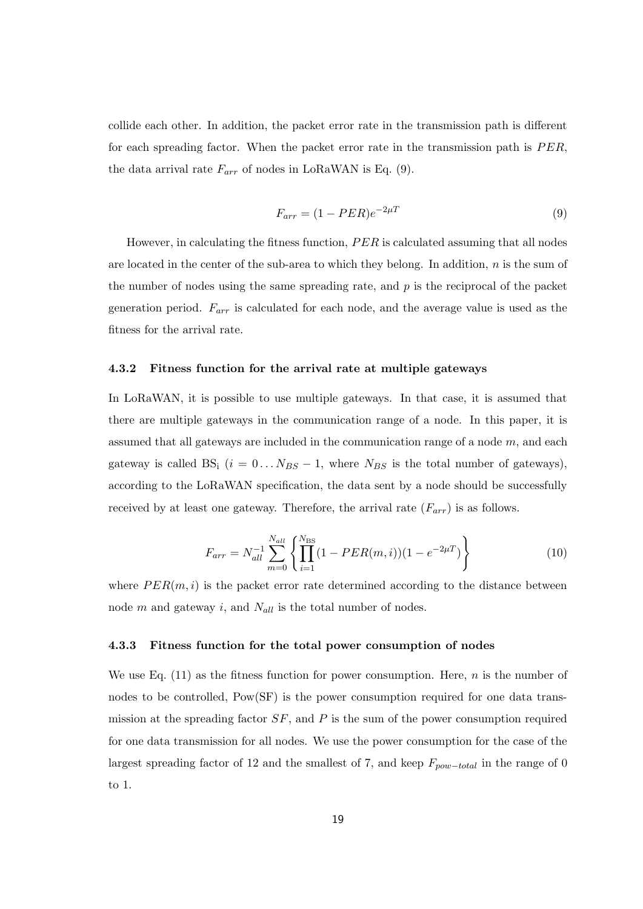collide each other. In addition, the packet error rate in the transmission path is different for each spreading factor. When the packet error rate in the transmission path is *P ER*, the data arrival rate  $F_{arr}$  of nodes in LoRaWAN is Eq.  $(9)$ .

$$
F_{arr} = (1 - PER)e^{-2\mu T}
$$
\n
$$
(9)
$$

However, in calculating the fitness function, *P ER* is calculated assuming that all nodes are located in the center of the sub-area to which they belong. In addition, *n* is the sum of the number of nodes using the same spreading rate, and *p* is the reciprocal of the packet generation period. *Farr* is calculated for each node, and the average value is used as the fitness for the arrival rate.

#### **4.3.2 Fitness function for the arrival rate at multiple gateways**

In LoRaWAN, it is possible to use multiple gateways. In that case, it is assumed that there are multiple gateways in the communication range of a node. In this paper, it is assumed that all gateways are included in the communication range of a node *m*, and each gateway is called BS<sub>i</sub>  $(i = 0 \ldots N_{BS} - 1$ , where  $N_{BS}$  is the total number of gateways), according to the LoRaWAN specification, the data sent by a node should be successfully received by at least one gateway. Therefore, the arrival rate (*Farr*) is as follows.

$$
F_{arr} = N_{all}^{-1} \sum_{m=0}^{N_{all}} \left\{ \prod_{i=1}^{N_{BS}} (1 - PER(m, i))(1 - e^{-2\mu T}) \right\}
$$
(10)

where  $PER(m, i)$  is the packet error rate determined according to the distance between node *m* and gateway *i*, and *Nall* is the total number of nodes.

#### **4.3.3 Fitness function for the total power consumption of nodes**

We use Eq. (11) as the fitness function for power consumption. Here, *n* is the number of nodes to be controlled, Pow(SF) is the power consumption required for one data transmission at the spreading factor *SF*, and *P* is the sum of the power consumption required for one data transmission for all nodes. We use the power consumption for the case of the largest spreading factor of 12 and the smallest of 7, and keep *Fpow−total* in the range of 0 to 1.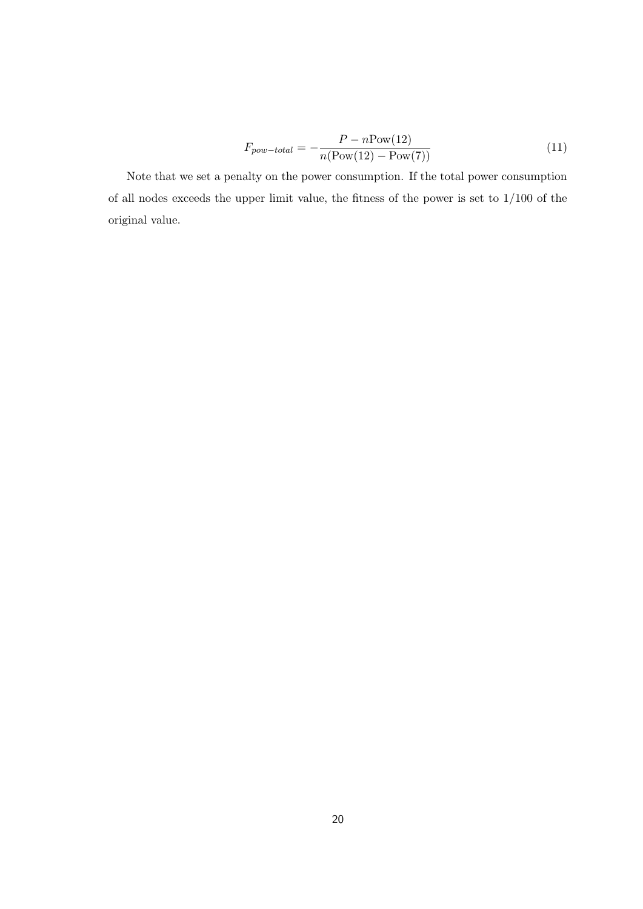$$
F_{pow-total} = -\frac{P - n\text{Pow}(12)}{n(\text{Pow}(12) - \text{Pow}(7))}
$$
\n
$$
\tag{11}
$$

Note that we set a penalty on the power consumption. If the total power consumption of all nodes exceeds the upper limit value, the fitness of the power is set to 1/100 of the original value.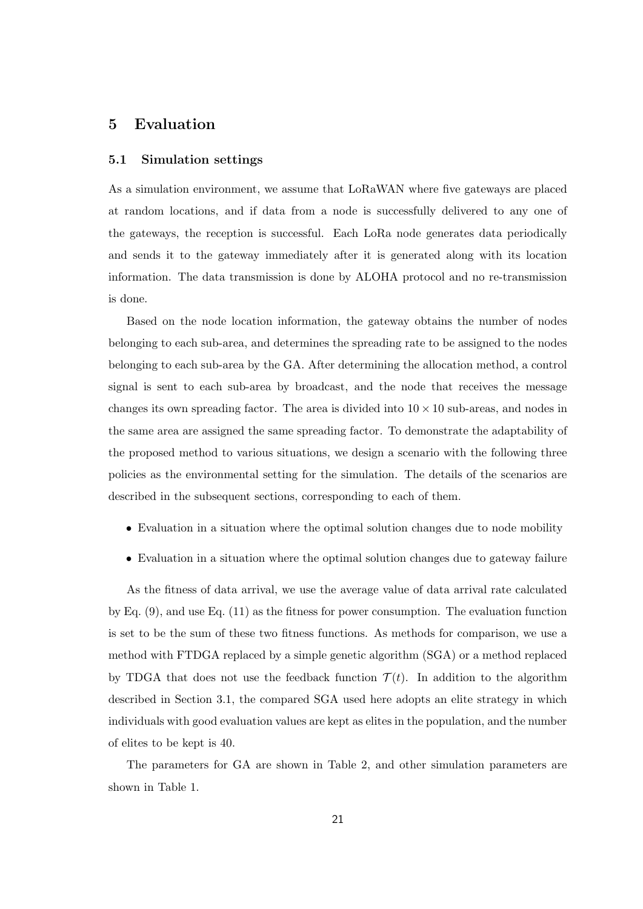## **5 Evaluation**

#### **5.1 Simulation settings**

As a simulation environment, we assume that LoRaWAN where five gateways are placed at random locations, and if data from a node is successfully delivered to any one of the gateways, the reception is successful. Each LoRa node generates data periodically and sends it to the gateway immediately after it is generated along with its location information. The data transmission is done by ALOHA protocol and no re-transmission is done.

Based on the node location information, the gateway obtains the number of nodes belonging to each sub-area, and determines the spreading rate to be assigned to the nodes belonging to each sub-area by the GA. After determining the allocation method, a control signal is sent to each sub-area by broadcast, and the node that receives the message changes its own spreading factor. The area is divided into  $10 \times 10$  sub-areas, and nodes in the same area are assigned the same spreading factor. To demonstrate the adaptability of the proposed method to various situations, we design a scenario with the following three policies as the environmental setting for the simulation. The details of the scenarios are described in the subsequent sections, corresponding to each of them.

- Evaluation in a situation where the optimal solution changes due to node mobility
- Evaluation in a situation where the optimal solution changes due to gateway failure

As the fitness of data arrival, we use the average value of data arrival rate calculated by Eq.  $(9)$ , and use Eq.  $(11)$  as the fitness for power consumption. The evaluation function is set to be the sum of these two fitness functions. As methods for comparison, we use a method with FTDGA replaced by a simple genetic algorithm (SGA) or a method replaced by TDGA that does not use the feedback function  $\mathcal{T}(t)$ . In addition to the algorithm described in Section 3.1, the compared SGA used here adopts an elite strategy in which individuals with good evaluation values are kept as elites in the population, and the number of elites to be kept is 40.

The parameters for GA are shown in Table 2, and other simulation parameters are shown in Table 1.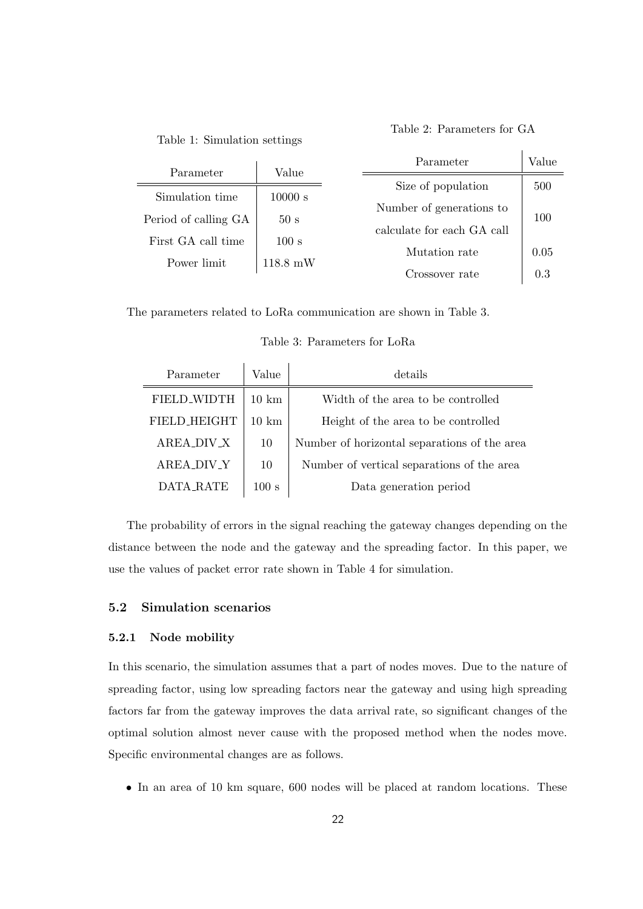Table 1: Simulation settings

Table 2: Parameters for GA

| Parameter            | Value              | Parameter                  | Value |  |
|----------------------|--------------------|----------------------------|-------|--|
|                      |                    |                            |       |  |
| Simulation time      | 10000 s            | Size of population         | 500   |  |
| Period of calling GA | 50 <sub>s</sub>    | Number of generations to   | 100   |  |
|                      |                    | calculate for each GA call |       |  |
| First GA call time   | 100 s              |                            |       |  |
| Power limit          | $118.8 \text{ mW}$ | Mutation rate              | 0.05  |  |
|                      |                    | Crossover rate             | 0.3   |  |

The parameters related to LoRa communication are shown in Table 3.

| Parameter           | Value               | details                                      |
|---------------------|---------------------|----------------------------------------------|
| <b>FIELD WIDTH</b>  | $10 \; \mathrm{km}$ | Width of the area to be controlled           |
| <b>FIELD_HEIGHT</b> | 10 km               | Height of the area to be controlled          |
| AREA_DIV_X          | 10                  | Number of horizontal separations of the area |
| <b>AREA_DIV_Y</b>   | 10                  | Number of vertical separations of the area   |
| DATA RATE           | 100 s               | Data generation period                       |

The probability of errors in the signal reaching the gateway changes depending on the distance between the node and the gateway and the spreading factor. In this paper, we use the values of packet error rate shown in Table 4 for simulation.

#### **5.2 Simulation scenarios**

#### **5.2.1 Node mobility**

In this scenario, the simulation assumes that a part of nodes moves. Due to the nature of spreading factor, using low spreading factors near the gateway and using high spreading factors far from the gateway improves the data arrival rate, so significant changes of the optimal solution almost never cause with the proposed method when the nodes move. Specific environmental changes are as follows.

• In an area of 10 km square, 600 nodes will be placed at random locations. These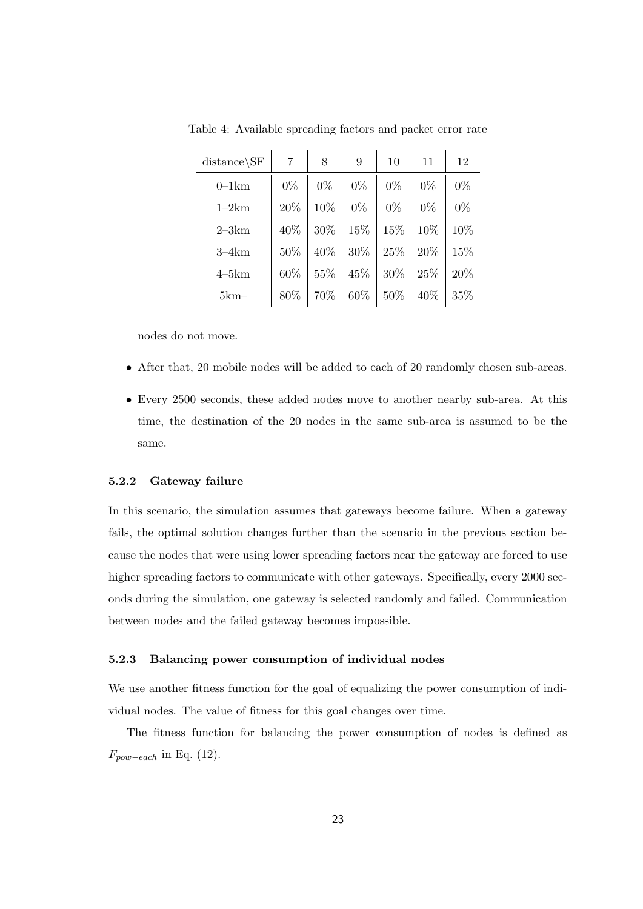| $distance\backslash SF$ | 7     | 8     | 9     | 10     | 11    | 12    |
|-------------------------|-------|-------|-------|--------|-------|-------|
| $0-1km$                 | $0\%$ | $0\%$ | $0\%$ | $0\%$  | $0\%$ | $0\%$ |
| $1-2km$                 | 20%   | 10%   | $0\%$ | $0\%$  | $0\%$ | $0\%$ |
| $2-3km$                 | 40%   | 30%   | 15%   | 15%    | 10%   | 10%   |
| $3-4km$                 | 50%   | 40%   | 30%   | 25%    | 20%   | 15%   |
| $4-5km$                 | 60%   | 55%   | 45%   | $30\%$ | 25%   | 20%   |
| $5km-$                  | 80%   | 70%   | 60%   | $50\%$ | 40%   | 35\%  |

Table 4: Available spreading factors and packet error rate

nodes do not move.

- After that, 20 mobile nodes will be added to each of 20 randomly chosen sub-areas.
- Every 2500 seconds, these added nodes move to another nearby sub-area. At this time, the destination of the 20 nodes in the same sub-area is assumed to be the same.

#### **5.2.2 Gateway failure**

In this scenario, the simulation assumes that gateways become failure. When a gateway fails, the optimal solution changes further than the scenario in the previous section because the nodes that were using lower spreading factors near the gateway are forced to use higher spreading factors to communicate with other gateways. Specifically, every 2000 seconds during the simulation, one gateway is selected randomly and failed. Communication between nodes and the failed gateway becomes impossible.

#### **5.2.3 Balancing power consumption of individual nodes**

We use another fitness function for the goal of equalizing the power consumption of individual nodes. The value of fitness for this goal changes over time.

The fitness function for balancing the power consumption of nodes is defined as *Fpow−each* in Eq. (12).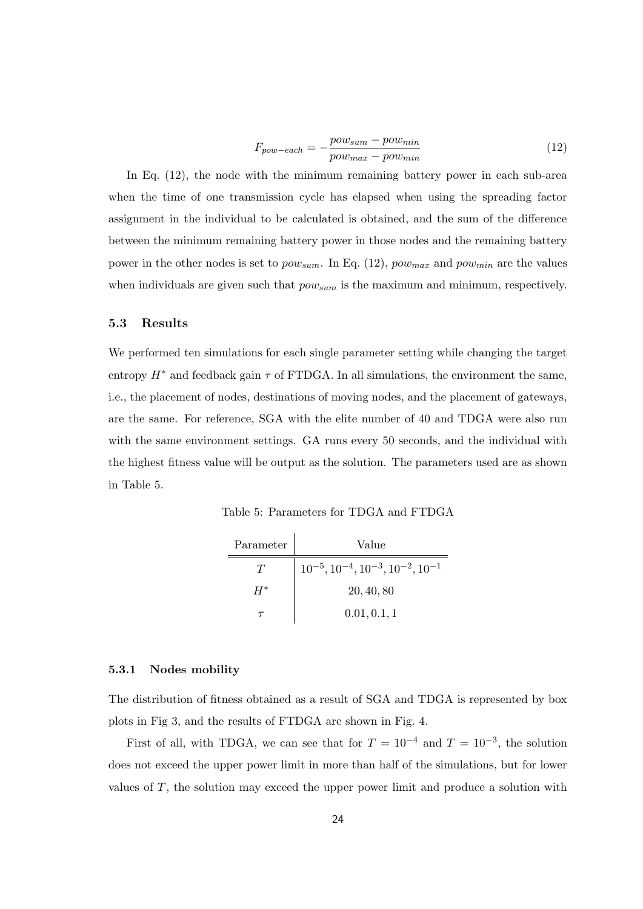$$
F_{pow-each} = -\frac{pow_{sum} - pow_{min}}{pow_{max} - pow_{min}} \tag{12}
$$

In Eq. (12), the node with the minimum remaining battery power in each sub-area when the time of one transmission cycle has elapsed when using the spreading factor assignment in the individual to be calculated is obtained, and the sum of the difference between the minimum remaining battery power in those nodes and the remaining battery power in the other nodes is set to *powsum*. In Eq. (12), *powmax* and *powmin* are the values when individuals are given such that *powsum* is the maximum and minimum, respectively.

#### **5.3 Results**

We performed ten simulations for each single parameter setting while changing the target entropy  $H^*$  and feedback gain  $\tau$  of FTDGA. In all simulations, the environment the same, i.e., the placement of nodes, destinations of moving nodes, and the placement of gateways, are the same. For reference, SGA with the elite number of 40 and TDGA were also run with the same environment settings. GA runs every 50 seconds, and the individual with the highest fitness value will be output as the solution. The parameters used are as shown in Table 5.

Table 5: Parameters for TDGA and FTDGA

| Parameter | Value                                                     |
|-----------|-----------------------------------------------------------|
| Ŧ         | $10^{-5}$ , $10^{-4}$ , $10^{-3}$ , $10^{-2}$ , $10^{-1}$ |
| H*        | 20, 40, 80                                                |
|           | 0.01, 0.1, 1                                              |

#### **5.3.1 Nodes mobility**

 $\equiv$ 

The distribution of fitness obtained as a result of SGA and TDGA is represented by box plots in Fig 3, and the results of FTDGA are shown in Fig. 4.

First of all, with TDGA, we can see that for  $T = 10^{-4}$  and  $T = 10^{-3}$ , the solution does not exceed the upper power limit in more than half of the simulations, but for lower values of *T*, the solution may exceed the upper power limit and produce a solution with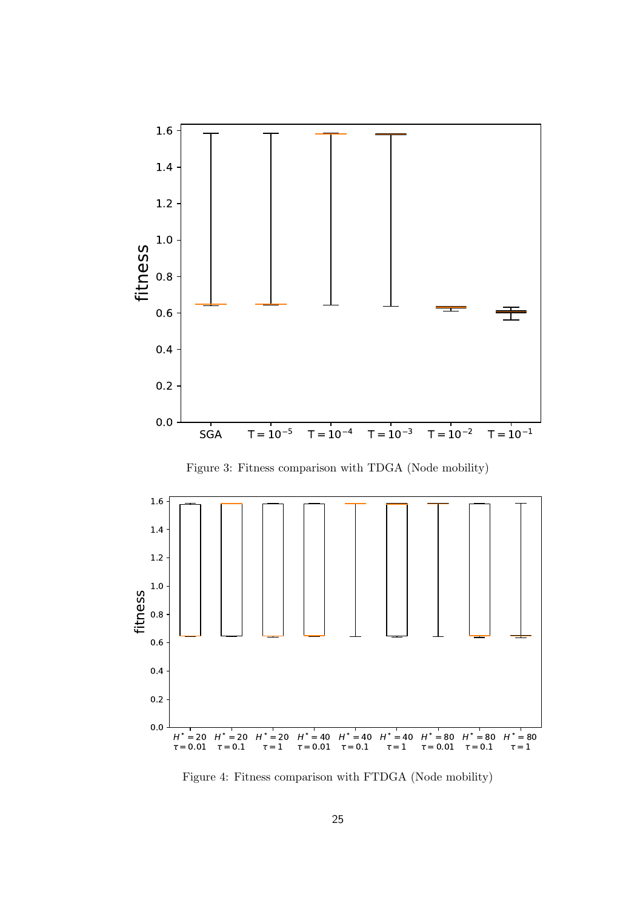

Figure 3: Fitness comparison with TDGA (Node mobility)



Figure 4: Fitness comparison with FTDGA (Node mobility)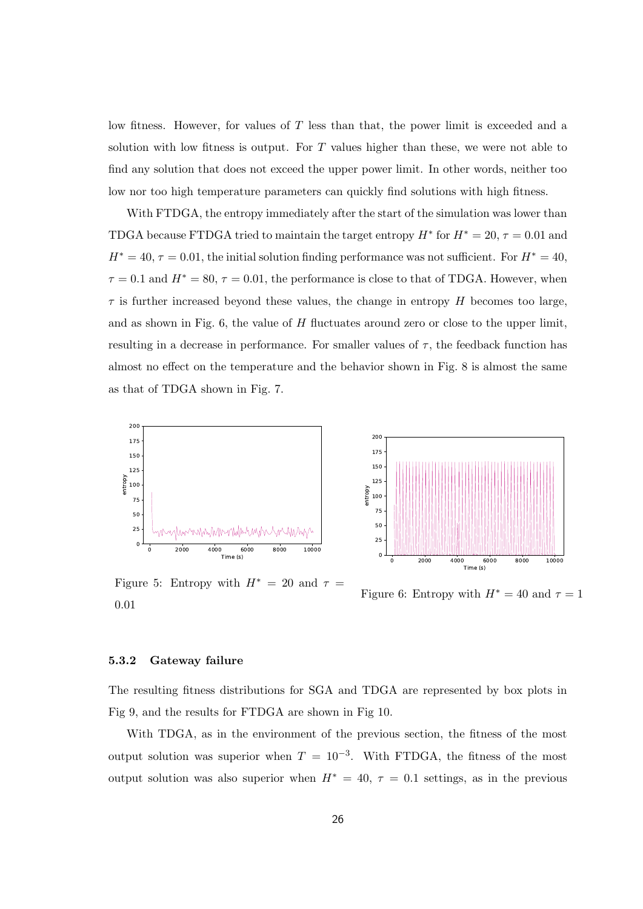low fitness. However, for values of *T* less than that, the power limit is exceeded and a solution with low fitness is output. For *T* values higher than these, we were not able to find any solution that does not exceed the upper power limit. In other words, neither too low nor too high temperature parameters can quickly find solutions with high fitness.

With FTDGA, the entropy immediately after the start of the simulation was lower than TDGA because FTDGA tried to maintain the target entropy  $H^*$  for  $H^* = 20$ ,  $\tau = 0.01$  and  $H^* = 40$ ,  $\tau = 0.01$ , the initial solution finding performance was not sufficient. For  $H^* = 40$ ,  $\tau = 0.1$  and  $H^* = 80$ ,  $\tau = 0.01$ , the performance is close to that of TDGA. However, when  $\tau$  is further increased beyond these values, the change in entropy *H* becomes too large, and as shown in Fig. 6, the value of *H* fluctuates around zero or close to the upper limit, resulting in a decrease in performance. For smaller values of  $\tau$ , the feedback function has almost no effect on the temperature and the behavior shown in Fig. 8 is almost the same as that of TDGA shown in Fig. 7.





Figure 5: Entropy with  $H^* = 20$  and  $\tau =$ 0*.*01

Figure 6: Entropy with  $H^* = 40$  and  $\tau = 1$ 

#### **5.3.2 Gateway failure**

The resulting fitness distributions for SGA and TDGA are represented by box plots in Fig 9, and the results for FTDGA are shown in Fig 10.

With TDGA, as in the environment of the previous section, the fitness of the most output solution was superior when  $T = 10^{-3}$ . With FTDGA, the fitness of the most output solution was also superior when  $H^* = 40$ ,  $\tau = 0.1$  settings, as in the previous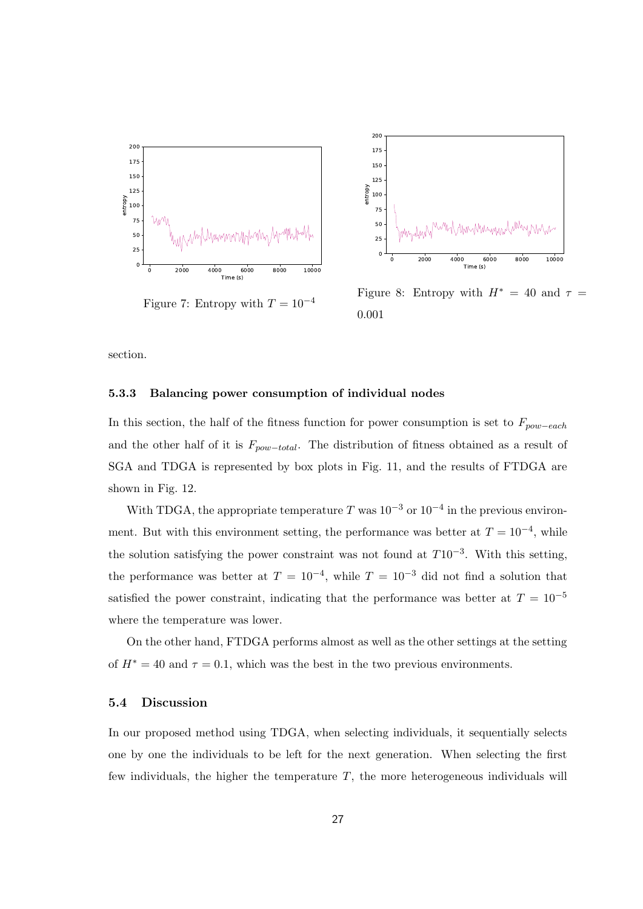



Figure 8: Entropy with  $H^* = 40$  and  $\tau =$ 0*.*001

section.

#### **5.3.3 Balancing power consumption of individual nodes**

In this section, the half of the fitness function for power consumption is set to *Fpow−each* and the other half of it is *Fpow−total*. The distribution of fitness obtained as a result of SGA and TDGA is represented by box plots in Fig. 11, and the results of FTDGA are shown in Fig. 12.

With TDGA, the appropriate temperature *T* was 10*−*<sup>3</sup> or 10*−*<sup>4</sup> in the previous environment. But with this environment setting, the performance was better at  $T = 10^{-4}$ , while the solution satisfying the power constraint was not found at *T*10*−*<sup>3</sup> . With this setting, the performance was better at  $T = 10^{-4}$ , while  $T = 10^{-3}$  did not find a solution that satisfied the power constraint, indicating that the performance was better at  $T = 10^{-5}$ where the temperature was lower.

On the other hand, FTDGA performs almost as well as the other settings at the setting of  $H^* = 40$  and  $\tau = 0.1$ , which was the best in the two previous environments.

#### **5.4 Discussion**

In our proposed method using TDGA, when selecting individuals, it sequentially selects one by one the individuals to be left for the next generation. When selecting the first few individuals, the higher the temperature *T*, the more heterogeneous individuals will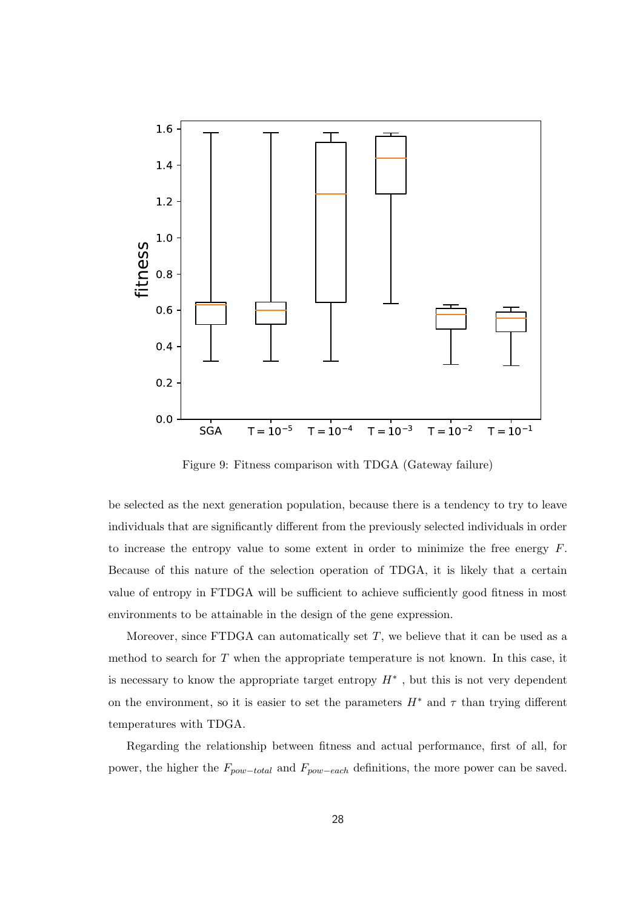

Figure 9: Fitness comparison with TDGA (Gateway failure)

be selected as the next generation population, because there is a tendency to try to leave individuals that are significantly different from the previously selected individuals in order to increase the entropy value to some extent in order to minimize the free energy *F*. Because of this nature of the selection operation of TDGA, it is likely that a certain value of entropy in FTDGA will be sufficient to achieve sufficiently good fitness in most environments to be attainable in the design of the gene expression.

Moreover, since FTDGA can automatically set *T*, we believe that it can be used as a method to search for *T* when the appropriate temperature is not known. In this case, it is necessary to know the appropriate target entropy *H∗* , but this is not very dependent on the environment, so it is easier to set the parameters  $H^*$  and  $\tau$  than trying different temperatures with TDGA.

Regarding the relationship between fitness and actual performance, first of all, for power, the higher the *Fpow−total* and *Fpow−each* definitions, the more power can be saved.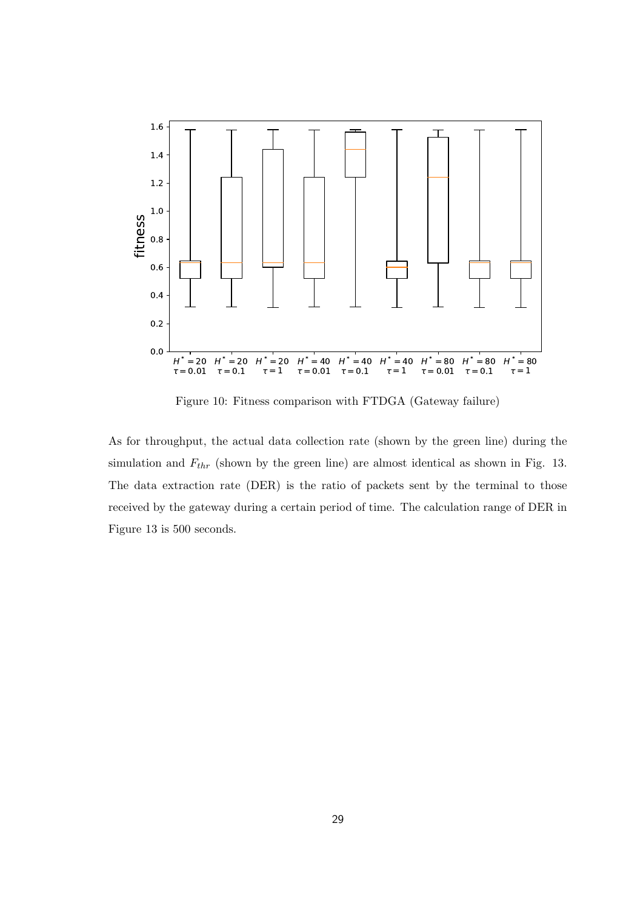

Figure 10: Fitness comparison with FTDGA (Gateway failure)

As for throughput, the actual data collection rate (shown by the green line) during the simulation and *Fthr* (shown by the green line) are almost identical as shown in Fig. 13. The data extraction rate (DER) is the ratio of packets sent by the terminal to those received by the gateway during a certain period of time. The calculation range of DER in Figure 13 is 500 seconds.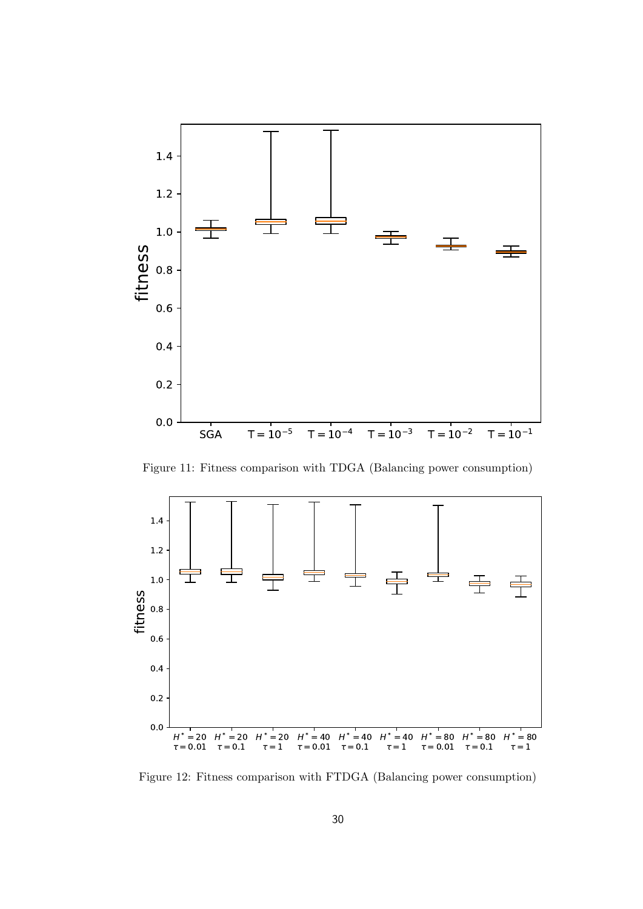

Figure 11: Fitness comparison with TDGA (Balancing power consumption)



Figure 12: Fitness comparison with FTDGA (Balancing power consumption)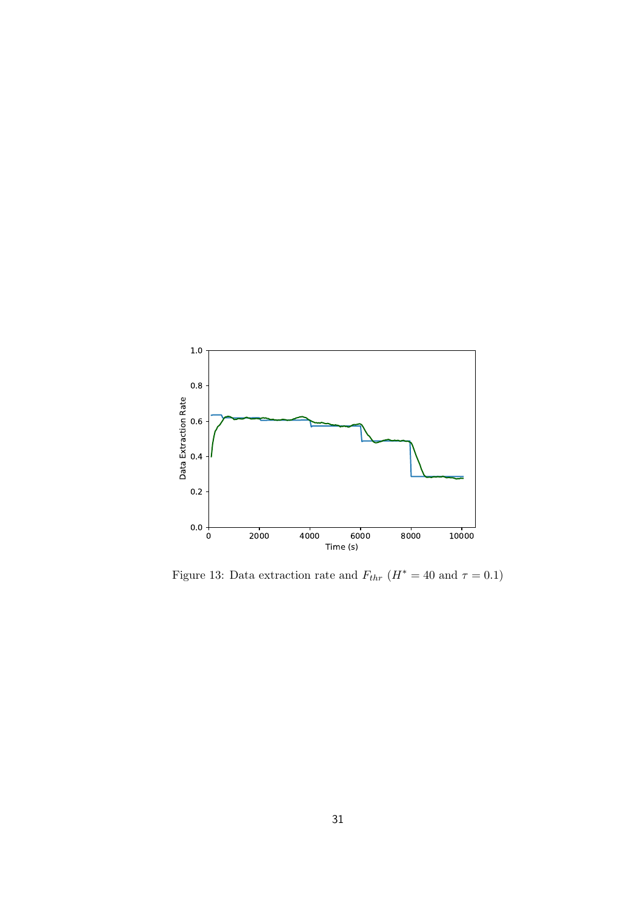

Figure 13: Data extraction rate and  $F_{thr}$  ( $H^* = 40$  and  $\tau = 0.1$ )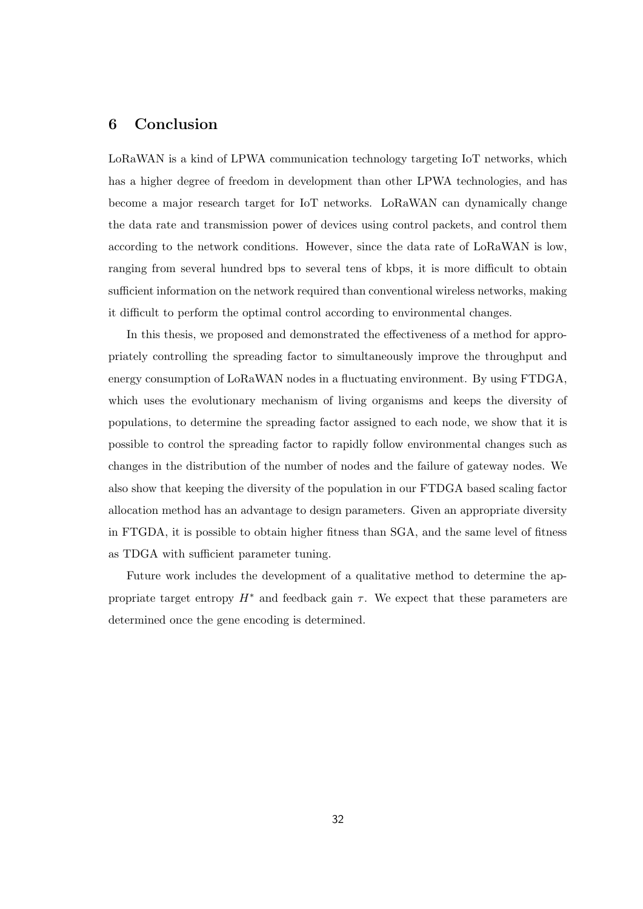## **6 Conclusion**

LoRaWAN is a kind of LPWA communication technology targeting IoT networks, which has a higher degree of freedom in development than other LPWA technologies, and has become a major research target for IoT networks. LoRaWAN can dynamically change the data rate and transmission power of devices using control packets, and control them according to the network conditions. However, since the data rate of LoRaWAN is low, ranging from several hundred bps to several tens of kbps, it is more difficult to obtain sufficient information on the network required than conventional wireless networks, making it difficult to perform the optimal control according to environmental changes.

In this thesis, we proposed and demonstrated the effectiveness of a method for appropriately controlling the spreading factor to simultaneously improve the throughput and energy consumption of LoRaWAN nodes in a fluctuating environment. By using FTDGA, which uses the evolutionary mechanism of living organisms and keeps the diversity of populations, to determine the spreading factor assigned to each node, we show that it is possible to control the spreading factor to rapidly follow environmental changes such as changes in the distribution of the number of nodes and the failure of gateway nodes. We also show that keeping the diversity of the population in our FTDGA based scaling factor allocation method has an advantage to design parameters. Given an appropriate diversity in FTGDA, it is possible to obtain higher fitness than SGA, and the same level of fitness as TDGA with sufficient parameter tuning.

Future work includes the development of a qualitative method to determine the appropriate target entropy  $H^*$  and feedback gain  $\tau$ . We expect that these parameters are determined once the gene encoding is determined.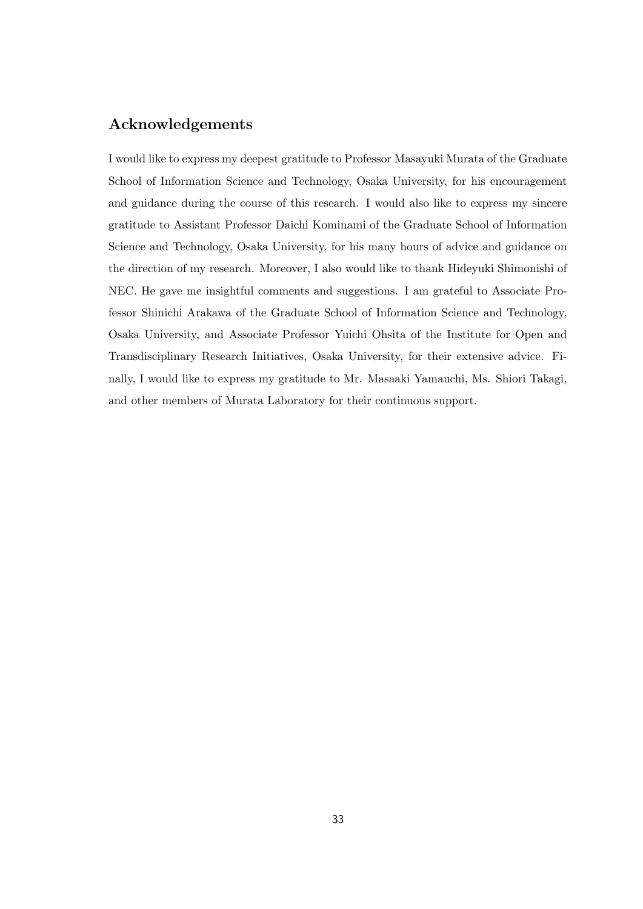## **Acknowledgements**

I would like to express my deepest gratitude to Professor Masayuki Murata of the Graduate School of Information Science and Technology, Osaka University, for his encouragement and guidance during the course of this research. I would also like to express my sincere gratitude to Assistant Professor Daichi Kominami of the Graduate School of Information Science and Technology, Osaka University, for his many hours of advice and guidance on the direction of my research. Moreover, I also would like to thank Hideyuki Shimonishi of NEC. He gave me insightful comments and suggestions. I am grateful to Associate Professor Shinichi Arakawa of the Graduate School of Information Science and Technology, Osaka University, and Associate Professor Yuichi Ohsita of the Institute for Open and Transdisciplinary Research Initiatives, Osaka University, for their extensive advice. Finally, I would like to express my gratitude to Mr. Masaaki Yamauchi, Ms. Shiori Takagi, and other members of Murata Laboratory for their continuous support.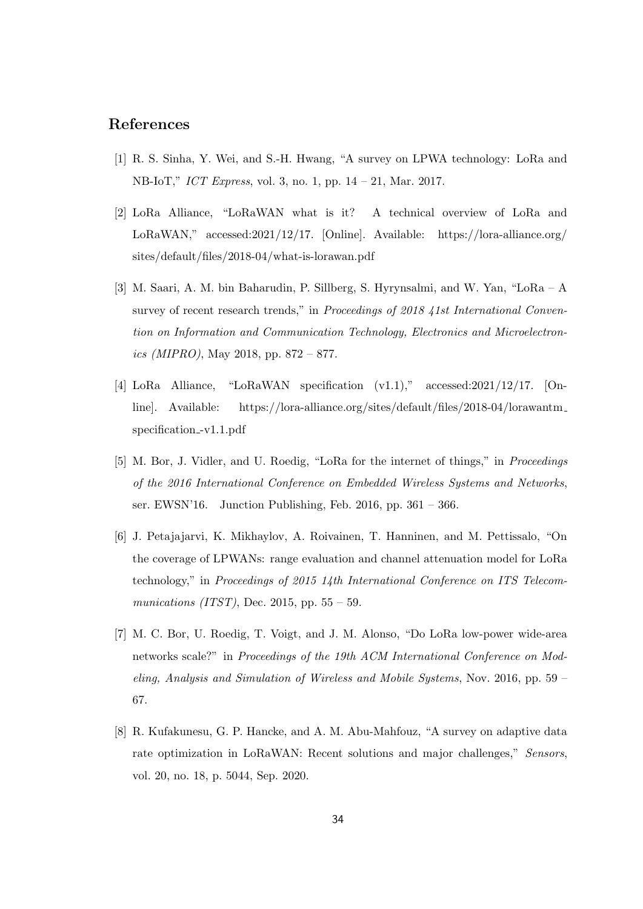## **References**

- [1] R. S. Sinha, Y. Wei, and S.-H. Hwang, "A survey on LPWA technology: LoRa and NB-IoT," *ICT Express*, vol. 3, no. 1, pp. 14 – 21, Mar. 2017.
- [2] LoRa Alliance, "LoRaWAN what is it? A technical overview of LoRa and LoRaWAN," accessed:2021/12/17. [Online]. Available: https://lora-alliance.org/ sites/default/files/2018-04/what-is-lorawan.pdf
- [3] M. Saari, A. M. bin Baharudin, P. Sillberg, S. Hyrynsalmi, and W. Yan, "LoRa A survey of recent research trends," in *Proceedings of 2018 41st International Convention on Information and Communication Technology, Electronics and Microelectronics (MIPRO)*, May 2018, pp. 872 – 877.
- [4] LoRa Alliance, "LoRaWAN specification (v1.1)," accessed:2021/12/17. [Online]. Available: https://lora-alliance.org/sites/default/files/2018-04/lorawantm specification<sub>-v1.1</sub>.pdf
- [5] M. Bor, J. Vidler, and U. Roedig, "LoRa for the internet of things," in *Proceedings of the 2016 International Conference on Embedded Wireless Systems and Networks*, ser. EWSN'16. Junction Publishing, Feb. 2016, pp. 361 – 366.
- [6] J. Petajajarvi, K. Mikhaylov, A. Roivainen, T. Hanninen, and M. Pettissalo, "On the coverage of LPWANs: range evaluation and channel attenuation model for LoRa technology," in *Proceedings of 2015 14th International Conference on ITS Telecommunications (ITST)*, Dec. 2015, pp. 55 – 59.
- [7] M. C. Bor, U. Roedig, T. Voigt, and J. M. Alonso, "Do LoRa low-power wide-area networks scale?" in *Proceedings of the 19th ACM International Conference on Modeling, Analysis and Simulation of Wireless and Mobile Systems*, Nov. 2016, pp. 59 – 67.
- [8] R. Kufakunesu, G. P. Hancke, and A. M. Abu-Mahfouz, "A survey on adaptive data rate optimization in LoRaWAN: Recent solutions and major challenges," *Sensors*, vol. 20, no. 18, p. 5044, Sep. 2020.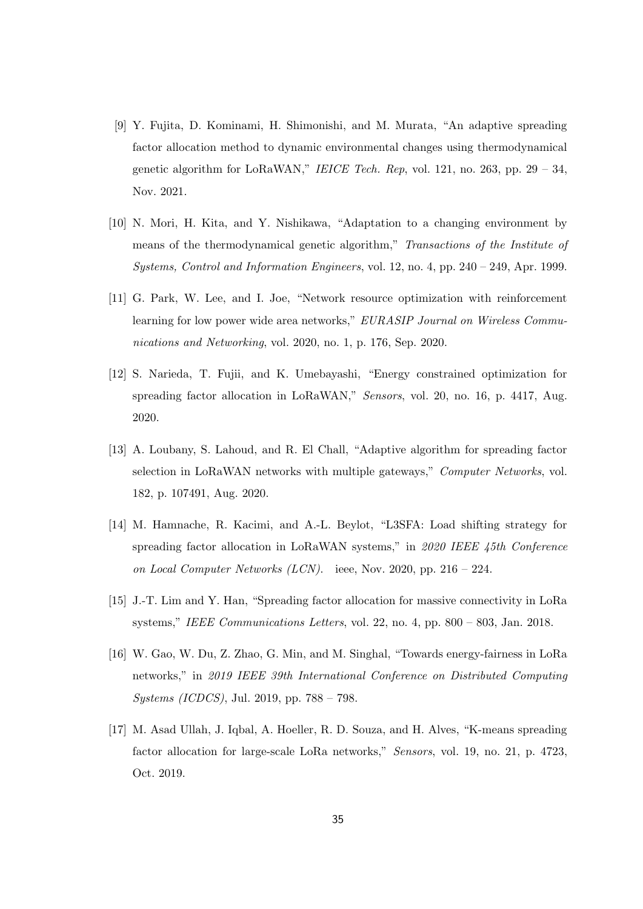- [9] Y. Fujita, D. Kominami, H. Shimonishi, and M. Murata, "An adaptive spreading factor allocation method to dynamic environmental changes using thermodynamical genetic algorithm for LoRaWAN," *IEICE Tech. Rep*, vol. 121, no. 263, pp. 29 – 34, Nov. 2021.
- [10] N. Mori, H. Kita, and Y. Nishikawa, "Adaptation to a changing environment by means of the thermodynamical genetic algorithm," *Transactions of the Institute of Systems, Control and Information Engineers*, vol. 12, no. 4, pp. 240 – 249, Apr. 1999.
- [11] G. Park, W. Lee, and I. Joe, "Network resource optimization with reinforcement learning for low power wide area networks," *EURASIP Journal on Wireless Communications and Networking*, vol. 2020, no. 1, p. 176, Sep. 2020.
- [12] S. Narieda, T. Fujii, and K. Umebayashi, "Energy constrained optimization for spreading factor allocation in LoRaWAN," *Sensors*, vol. 20, no. 16, p. 4417, Aug. 2020.
- [13] A. Loubany, S. Lahoud, and R. El Chall, "Adaptive algorithm for spreading factor selection in LoRaWAN networks with multiple gateways," *Computer Networks*, vol. 182, p. 107491, Aug. 2020.
- [14] M. Hamnache, R. Kacimi, and A.-L. Beylot, "L3SFA: Load shifting strategy for spreading factor allocation in LoRaWAN systems," in *2020 IEEE 45th Conference on Local Computer Networks (LCN)*. ieee, Nov. 2020, pp. 216 – 224.
- [15] J.-T. Lim and Y. Han, "Spreading factor allocation for massive connectivity in LoRa systems," *IEEE Communications Letters*, vol. 22, no. 4, pp. 800 – 803, Jan. 2018.
- [16] W. Gao, W. Du, Z. Zhao, G. Min, and M. Singhal, "Towards energy-fairness in LoRa networks," in *2019 IEEE 39th International Conference on Distributed Computing Systems (ICDCS)*, Jul. 2019, pp. 788 – 798.
- [17] M. Asad Ullah, J. Iqbal, A. Hoeller, R. D. Souza, and H. Alves, "K-means spreading factor allocation for large-scale LoRa networks," *Sensors*, vol. 19, no. 21, p. 4723, Oct. 2019.